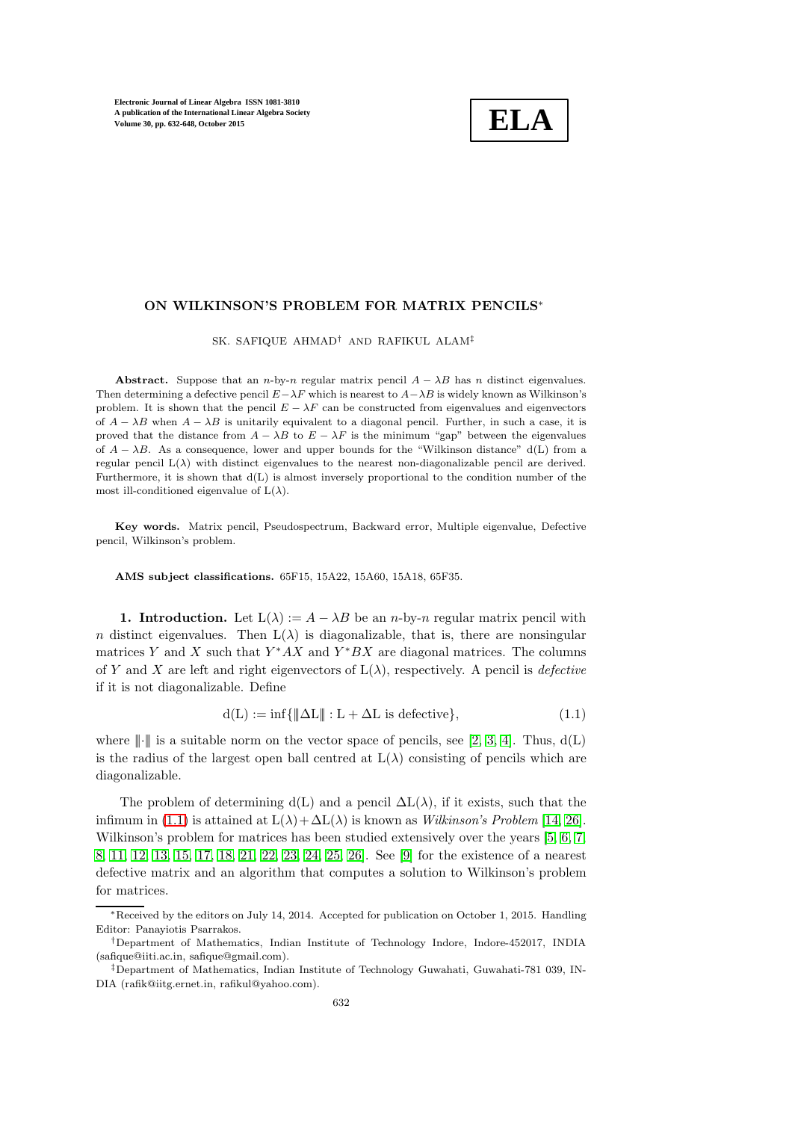

## ON WILKINSON'S PROBLEM FOR MATRIX PENCILS<sup>∗</sup>

SK. SAFIQUE AHMAD† AND RAFIKUL ALAM‡

Abstract. Suppose that an n-by-n regular matrix pencil  $A - \lambda B$  has n distinct eigenvalues. Then determining a defective pencil  $E-\lambda F$  which is nearest to  $A-\lambda B$  is widely known as Wilkinson's problem. It is shown that the pencil  $E - \lambda F$  can be constructed from eigenvalues and eigenvectors of  $A - \lambda B$  when  $A - \lambda B$  is unitarily equivalent to a diagonal pencil. Further, in such a case, it is proved that the distance from  $A - \lambda B$  to  $E - \lambda F$  is the minimum "gap" between the eigenvalues of  $A - \lambda B$ . As a consequence, lower and upper bounds for the "Wilkinson distance" d(L) from a regular pencil  $L(\lambda)$  with distinct eigenvalues to the nearest non-diagonalizable pencil are derived. Furthermore, it is shown that d(L) is almost inversely proportional to the condition number of the most ill-conditioned eigenvalue of  $L(\lambda)$ .

Key words. Matrix pencil, Pseudospectrum, Backward error, Multiple eigenvalue, Defective pencil, Wilkinson's problem.

AMS subject classifications. 65F15, 15A22, 15A60, 15A18, 65F35.

1. Introduction. Let  $L(\lambda) := A - \lambda B$  be an *n*-by-*n* regular matrix pencil with n distinct eigenvalues. Then  $L(\lambda)$  is diagonalizable, that is, there are nonsingular matrices Y and X such that  $Y^*AX$  and  $Y^*BX$  are diagonal matrices. The columns of Y and X are left and right eigenvectors of  $L(\lambda)$ , respectively. A pencil is *defective* if it is not diagonalizable. Define

<span id="page-0-0"></span>
$$
d(L) := \inf\{\|\Delta L\| : L + \Delta L \text{ is defective}\},\tag{1.1}
$$

where  $\| \cdot \|$  is a suitable norm on the vector space of pencils, see [\[2,](#page-15-0) [3,](#page-15-1) [4\]](#page-15-2). Thus,  $d(L)$ is the radius of the largest open ball centred at  $L(\lambda)$  consisting of pencils which are diagonalizable.

The problem of determining d(L) and a pencil  $\Delta L(\lambda)$ , if it exists, such that the infimum in [\(1.1\)](#page-0-0) is attained at  $L(\lambda) + \Delta L(\lambda)$  is known as Wilkinson's Problem [\[14,](#page-16-0) [26\]](#page-16-1). Wilkinson's problem for matrices has been studied extensively over the years [\[5,](#page-15-3) [6,](#page-15-4) [7,](#page-16-2) [8,](#page-16-3) [11,](#page-16-4) [12,](#page-16-5) [13,](#page-16-6) [15,](#page-16-7) [17,](#page-16-8) [18,](#page-16-9) [21,](#page-16-10) [22,](#page-16-11) [23,](#page-16-12) [24,](#page-16-13) [25,](#page-16-14) [26\]](#page-16-1). See [\[9\]](#page-16-15) for the existence of a nearest defective matrix and an algorithm that computes a solution to Wilkinson's problem for matrices.

<sup>∗</sup>Received by the editors on July 14, 2014. Accepted for publication on October 1, 2015. Handling Editor: Panayiotis Psarrakos.

<sup>†</sup>Department of Mathematics, Indian Institute of Technology Indore, Indore-452017, INDIA (safique@iiti.ac.in, safique@gmail.com).

<sup>‡</sup>Department of Mathematics, Indian Institute of Technology Guwahati, Guwahati-781 039, IN-DIA (rafik@iitg.ernet.in, rafikul@yahoo.com).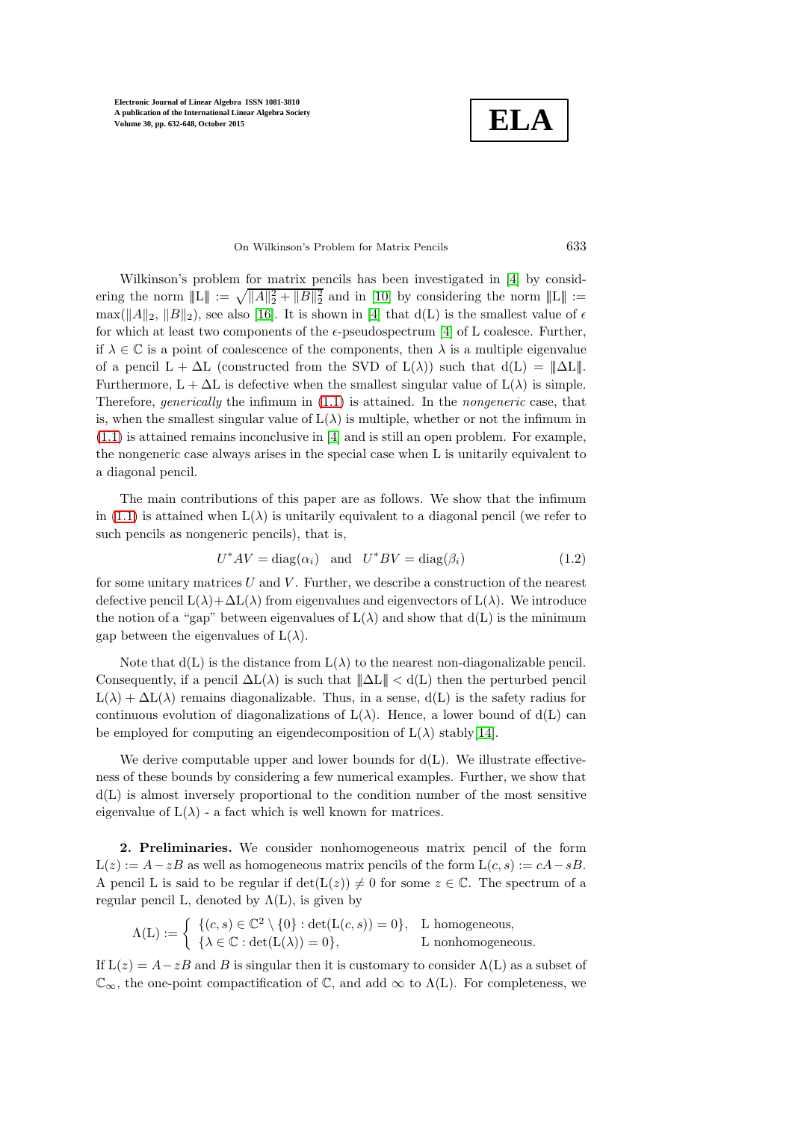**ELA**

# On Wilkinson's Problem for Matrix Pencils 633

Wilkinson's problem for matrix pencils has been investigated in [\[4\]](#page-15-2) by considering the norm  $||L|| := \sqrt{||A||_2^2 + ||B||_2^2}$  and in [\[10\]](#page-16-16) by considering the norm  $||L|| :=$  $\max(||A||_2, ||B||_2)$ , see also [\[16\]](#page-16-17). It is shown in [\[4\]](#page-15-2) that d(L) is the smallest value of  $\epsilon$ for which at least two components of the  $\epsilon$ -pseudospectrum [\[4\]](#page-15-2) of L coalesce. Further, if  $\lambda \in \mathbb{C}$  is a point of coalescence of the components, then  $\lambda$  is a multiple eigenvalue of a pencil  $L + \Delta L$  (constructed from the SVD of  $L(\lambda)$ ) such that  $d(L) = ||\Delta L||$ . Furthermore,  $L + \Delta L$  is defective when the smallest singular value of  $L(\lambda)$  is simple. Therefore, *generically* the infimum in  $(1.1)$  is attained. In the *nongeneric* case, that is, when the smallest singular value of  $L(\lambda)$  is multiple, whether or not the infimum in  $(1.1)$  is attained remains inconclusive in [\[4\]](#page-15-2) and is still an open problem. For example, the nongeneric case always arises in the special case when L is unitarily equivalent to a diagonal pencil.

The main contributions of this paper are as follows. We show that the infimum in [\(1.1\)](#page-0-0) is attained when  $L(\lambda)$  is unitarily equivalent to a diagonal pencil (we refer to such pencils as nongeneric pencils), that is,

<span id="page-1-0"></span>
$$
U^*AV = diag(\alpha_i) \text{ and } U^*BV = diag(\beta_i) \tag{1.2}
$$

for some unitary matrices  $U$  and  $V$ . Further, we describe a construction of the nearest defective pencil  $L(\lambda)+\Delta L(\lambda)$  from eigenvalues and eigenvectors of  $L(\lambda)$ . We introduce the notion of a "gap" between eigenvalues of  $L(\lambda)$  and show that  $d(L)$  is the minimum gap between the eigenvalues of  $L(\lambda)$ .

Note that  $d(L)$  is the distance from  $L(\lambda)$  to the nearest non-diagonalizable pencil. Consequently, if a pencil  $\Delta L(\lambda)$  is such that  $||\Delta L|| < d(L)$  then the perturbed pencil  $L(\lambda) + \Delta L(\lambda)$  remains diagonalizable. Thus, in a sense,  $d(L)$  is the safety radius for continuous evolution of diagonalizations of  $L(\lambda)$ . Hence, a lower bound of  $d(L)$  can be employed for computing an eigendecomposition of  $L(\lambda)$  stably[\[14\]](#page-16-0).

We derive computable upper and lower bounds for  $d(L)$ . We illustrate effectiveness of these bounds by considering a few numerical examples. Further, we show that  $d(L)$  is almost inversely proportional to the condition number of the most sensitive eigenvalue of  $L(\lambda)$  - a fact which is well known for matrices.

2. Preliminaries. We consider nonhomogeneous matrix pencil of the form  $L(z) := A - zB$  as well as homogeneous matrix pencils of the form  $L(c, s) := cA - sB$ . A pencil L is said to be regular if  $\det(L(z)) \neq 0$  for some  $z \in \mathbb{C}$ . The spectrum of a regular pencil L, denoted by  $\Lambda(L)$ , is given by

$$
\Lambda(L) := \begin{cases} \{(c, s) \in \mathbb{C}^2 \setminus \{0\} : \det(L(c, s)) = 0\}, & L \text{ homogeneous}, \\ \{\lambda \in \mathbb{C} : \det(L(\lambda)) = 0\}, & L \text{ nonhomogeneous}. \end{cases}
$$

If  $L(z) = A - zB$  and B is singular then it is customary to consider  $\Lambda(L)$  as a subset of  $\mathbb{C}_{\infty}$ , the one-point compactification of  $\mathbb{C}$ , and add  $\infty$  to  $\Lambda(L)$ . For completeness, we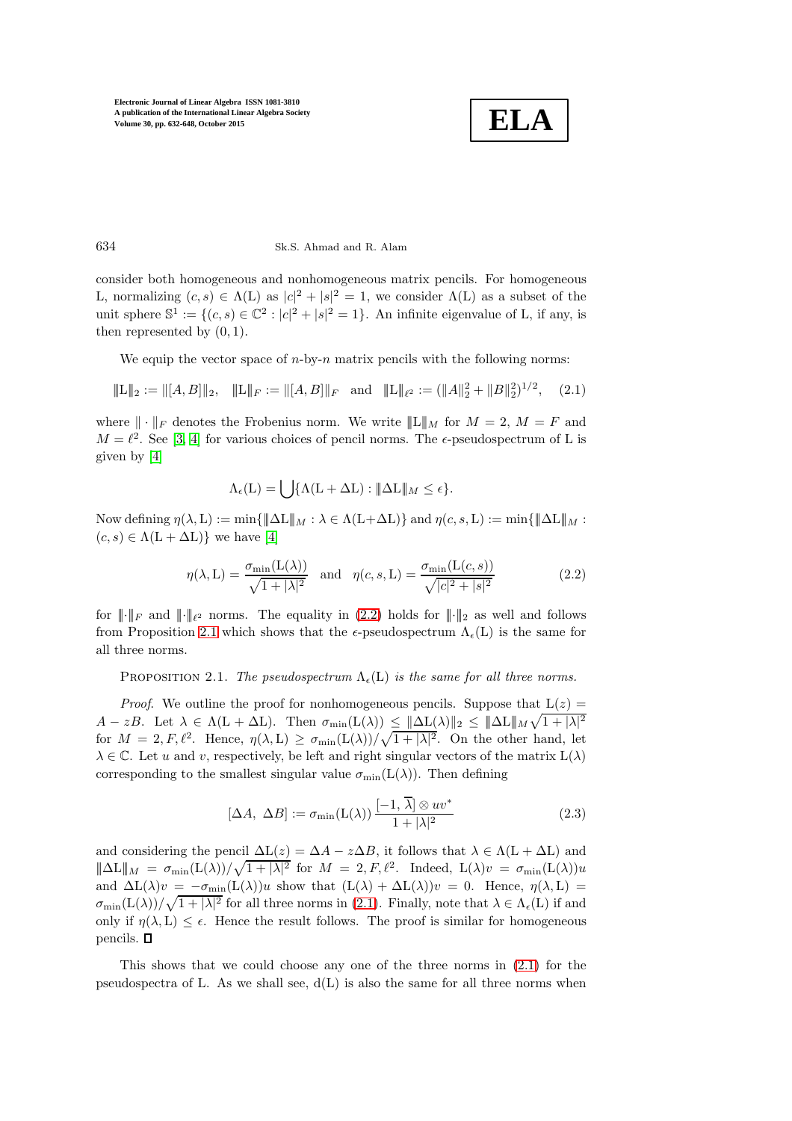

#### 634 Sk.S. Ahmad and R. Alam

consider both homogeneous and nonhomogeneous matrix pencils. For homogeneous L, normalizing  $(c, s) \in \Lambda(L)$  as  $|c|^2 + |s|^2 = 1$ , we consider  $\Lambda(L)$  as a subset of the unit sphere  $\mathbb{S}^1 := \{(c, s) \in \mathbb{C}^2 : |c|^2 + |s|^2 = 1\}$ . An infinite eigenvalue of L, if any, is then represented by  $(0, 1)$ .

We equip the vector space of  $n$ -by- $n$  matrix pencils with the following norms:

<span id="page-2-2"></span>
$$
\|\mathbf{L}\|_{2} := \|[A,B]\|_{2}, \quad \|\mathbf{L}\|_{F} := \|[A,B]\|_{F} \quad \text{and} \quad \|\mathbf{L}\|_{\ell^{2}} := (\|A\|_{2}^{2} + \|B\|_{2}^{2})^{1/2}, \quad (2.1)
$$

where  $\|\cdot\|_F$  denotes the Frobenius norm. We write  $\|\mathbf{L}\|_M$  for  $M=2$ ,  $M=F$  and  $M = \ell^2$ . See [\[3,](#page-15-1) [4\]](#page-15-2) for various choices of pencil norms. The  $\epsilon$ -pseudospectrum of L is given by [\[4\]](#page-15-2)

$$
\Lambda_{\epsilon}(\mathcal{L}) = \bigcup \{ \Lambda(\mathcal{L} + \Delta \mathcal{L}) : ||\Delta \mathcal{L}||_{M} \leq \epsilon \}.
$$

Now defining  $\eta(\lambda, L) := \min\{\|\Delta L\|_M : \lambda \in \Lambda(L + \Delta L)\}\$  and  $\eta(c, s, L) := \min\{\|\Delta L\|_M : \lambda \in \Lambda(L + \Delta L)\}\$  $(c, s) \in \Lambda(L + \Delta L)$ } we have [\[4\]](#page-15-2)

<span id="page-2-0"></span>
$$
\eta(\lambda, \mathcal{L}) = \frac{\sigma_{\min}(\mathcal{L}(\lambda))}{\sqrt{1 + |\lambda|^2}} \quad \text{and} \quad \eta(c, s, \mathcal{L}) = \frac{\sigma_{\min}(\mathcal{L}(c, s))}{\sqrt{|c|^2 + |s|^2}} \tag{2.2}
$$

<span id="page-2-1"></span>for  $\|\cdot\|_F$  and  $\|\cdot\|_{\ell^2}$  norms. The equality in [\(2.2\)](#page-2-0) holds for  $\|\cdot\|_2$  as well and follows from Proposition [2.1](#page-2-1) which shows that the  $\epsilon$ -pseudospectrum  $\Lambda_{\epsilon}(L)$  is the same for all three norms.

PROPOSITION 2.1. The pseudospectrum  $\Lambda_{\epsilon}(L)$  is the same for all three norms.

*Proof.* We outline the proof for nonhomogeneous pencils. Suppose that  $L(z) =$  $A - zB$ . Let  $\lambda \in \Lambda(\mathbf{L} + \Delta \mathbf{L})$ . Then  $\sigma_{\min}(\mathbf{L}(\lambda)) \leq ||\Delta \mathbf{L}(\lambda)||_2 \leq ||\Delta \mathbf{L}||_M \sqrt{1 + |\lambda|^2}$ for  $M = 2, F, \ell^2$ . Hence,  $\eta(\lambda, L) \ge \sigma_{\min}(L(\lambda))/\sqrt{1 + |\lambda|^2}$ . On the other hand, let  $\lambda \in \mathbb{C}$ . Let u and v, respectively, be left and right singular vectors of the matrix  $L(\lambda)$ corresponding to the smallest singular value  $\sigma_{\min}(L(\lambda))$ . Then defining

<span id="page-2-3"></span>
$$
[\Delta A, \ \Delta B] := \sigma_{\min}(\mathcal{L}(\lambda)) \frac{[-1, \ \overline{\lambda}] \otimes uv^*}{1 + |\lambda|^2}
$$
 (2.3)

and considering the pencil  $\Delta L(z) = \Delta A - z \Delta B$ , it follows that  $\lambda \in \Lambda(L + \Delta L)$  and  $\|\Delta L\|_M = \sigma_{\min}(L(\lambda))/\sqrt{1+|\lambda|^2}$  for  $M = 2, F, \ell^2$ . Indeed,  $L(\lambda)v = \sigma_{\min}(L(\lambda))u$ and  $\Delta L(\lambda)v = -\sigma_{\min}(L(\lambda))u$  show that  $(L(\lambda) + \Delta L(\lambda))v = 0$ . Hence,  $\eta(\lambda, L)$  $\sigma_{\min}(L(\lambda))/\sqrt{1+|\lambda|^2}$  for all three norms in [\(2.1\)](#page-2-2). Finally, note that  $\lambda \in \Lambda_{\epsilon}(L)$  if and only if  $\eta(\lambda, L) \leq \epsilon$ . Hence the result follows. The proof is similar for homogeneous pencils.  $\square$ 

This shows that we could choose any one of the three norms in [\(2.1\)](#page-2-2) for the pseudospectra of L. As we shall see,  $d(L)$  is also the same for all three norms when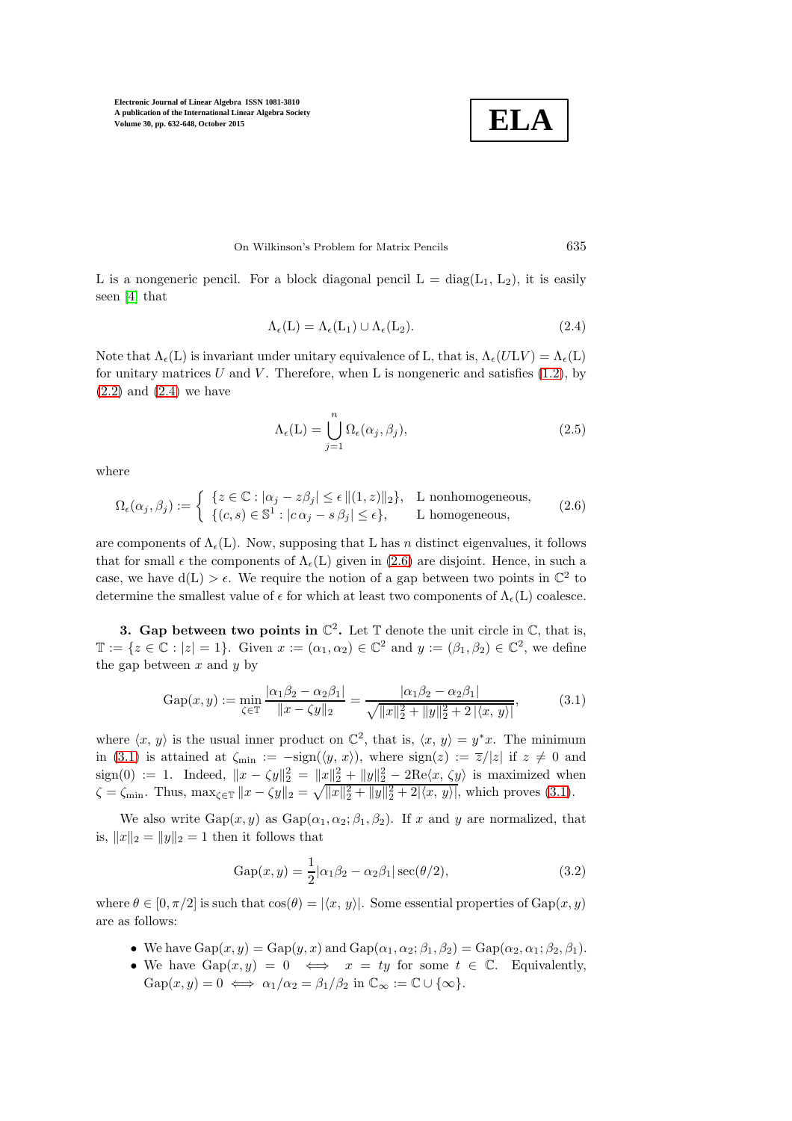

### On Wilkinson's Problem for Matrix Pencils 635

L is a nongeneric pencil. For a block diagonal pencil  $L = diag(L_1, L_2)$ , it is easily seen [\[4\]](#page-15-2) that

<span id="page-3-0"></span>
$$
\Lambda_{\epsilon}(L) = \Lambda_{\epsilon}(L_1) \cup \Lambda_{\epsilon}(L_2). \tag{2.4}
$$

Note that  $\Lambda_{\epsilon}(L)$  is invariant under unitary equivalence of L, that is,  $\Lambda_{\epsilon}(ULV) = \Lambda_{\epsilon}(L)$ for unitary matrices U and V. Therefore, when L is nongeneric and satisfies  $(1.2)$ , by  $(2.2)$  and  $(2.4)$  we have

<span id="page-3-4"></span>
$$
\Lambda_{\epsilon}(\mathcal{L}) = \bigcup_{j=1}^{n} \Omega_{\epsilon}(\alpha_j, \beta_j), \tag{2.5}
$$

where

<span id="page-3-1"></span>
$$
\Omega_{\epsilon}(\alpha_j, \beta_j) := \begin{cases} \{z \in \mathbb{C} : |\alpha_j - z\beta_j| \le \epsilon \, \|(1, z)\|_2\}, & \text{L nonhomogeneous,} \\ \{(\epsilon, s) \in \mathbb{S}^1 : |\epsilon \alpha_j - s\beta_j| \le \epsilon\}, & \text{L homogeneous,} \end{cases}
$$
\n(2.6)

are components of  $\Lambda_{\epsilon}(L)$ . Now, supposing that L has n distinct eigenvalues, it follows that for small  $\epsilon$  the components of  $\Lambda_{\epsilon}(L)$  given in [\(2.6\)](#page-3-1) are disjoint. Hence, in such a case, we have  $d(L) > \epsilon$ . We require the notion of a gap between two points in  $\mathbb{C}^2$  to determine the smallest value of  $\epsilon$  for which at least two components of  $\Lambda_{\epsilon}(L)$  coalesce.

3. Gap between two points in  $\mathbb{C}^2$ . Let  $\mathbb T$  denote the unit circle in  $\mathbb C$ , that is,  $\mathbb{T} := \{ z \in \mathbb{C} : |z| = 1 \}.$  Given  $x := (\alpha_1, \alpha_2) \in \mathbb{C}^2$  and  $y := (\beta_1, \beta_2) \in \mathbb{C}^2$ , we define the gap between  $x$  and  $y$  by

<span id="page-3-2"></span>
$$
Gap(x, y) := \min_{\zeta \in \mathbb{T}} \frac{|\alpha_1 \beta_2 - \alpha_2 \beta_1|}{\|x - \zeta y\|_2} = \frac{|\alpha_1 \beta_2 - \alpha_2 \beta_1|}{\sqrt{\|x\|_2^2 + \|y\|_2^2 + 2|\langle x, y \rangle|}},
$$
(3.1)

where  $\langle x, y \rangle$  is the usual inner product on  $\mathbb{C}^2$ , that is,  $\langle x, y \rangle = y^*x$ . The minimum in [\(3.1\)](#page-3-2) is attained at  $\zeta_{\min} := -\text{sign}(\langle y, x \rangle)$ , where  $\text{sign}(z) := \overline{z}/|z|$  if  $z \neq 0$  and sign(0) := 1. Indeed,  $||x - \zeta y||_2^2 = ||x||_2^2 + ||y||_2^2 - 2\text{Re}\langle x, \zeta y \rangle$  is maximized when  $\zeta = \zeta_{\min}$ . Thus,  $\max_{\zeta \in \mathbb{T}} \|x - \zeta y\|_2 = \sqrt{\|x\|_2^2 + \|y\|_2^2 + 2|\langle x, y \rangle|}$ , which proves [\(3.1\)](#page-3-2).

We also write  $Gap(x, y)$  as  $Gap(\alpha_1, \alpha_2; \beta_1, \beta_2)$ . If x and y are normalized, that is,  $||x||_2 = ||y||_2 = 1$  then it follows that

<span id="page-3-3"></span>
$$
Gap(x,y) = \frac{1}{2} |\alpha_1 \beta_2 - \alpha_2 \beta_1| \sec(\theta/2), \qquad (3.2)
$$

where  $\theta \in [0, \pi/2]$  is such that  $\cos(\theta) = |\langle x, y \rangle|$ . Some essential properties of  $\text{Gap}(x, y)$ are as follows:

- We have  $\text{Gap}(x, y) = \text{Gap}(y, x)$  and  $\text{Gap}(\alpha_1, \alpha_2; \beta_1, \beta_2) = \text{Gap}(\alpha_2, \alpha_1; \beta_2, \beta_1).$
- We have  $Gap(x, y) = 0 \iff x = ty$  for some  $t \in \mathbb{C}$ . Equivalently,  $Gap(x, y) = 0 \iff \alpha_1/\alpha_2 = \beta_1/\beta_2 \text{ in } \mathbb{C}_{\infty} := \mathbb{C} \cup {\{\infty\}}.$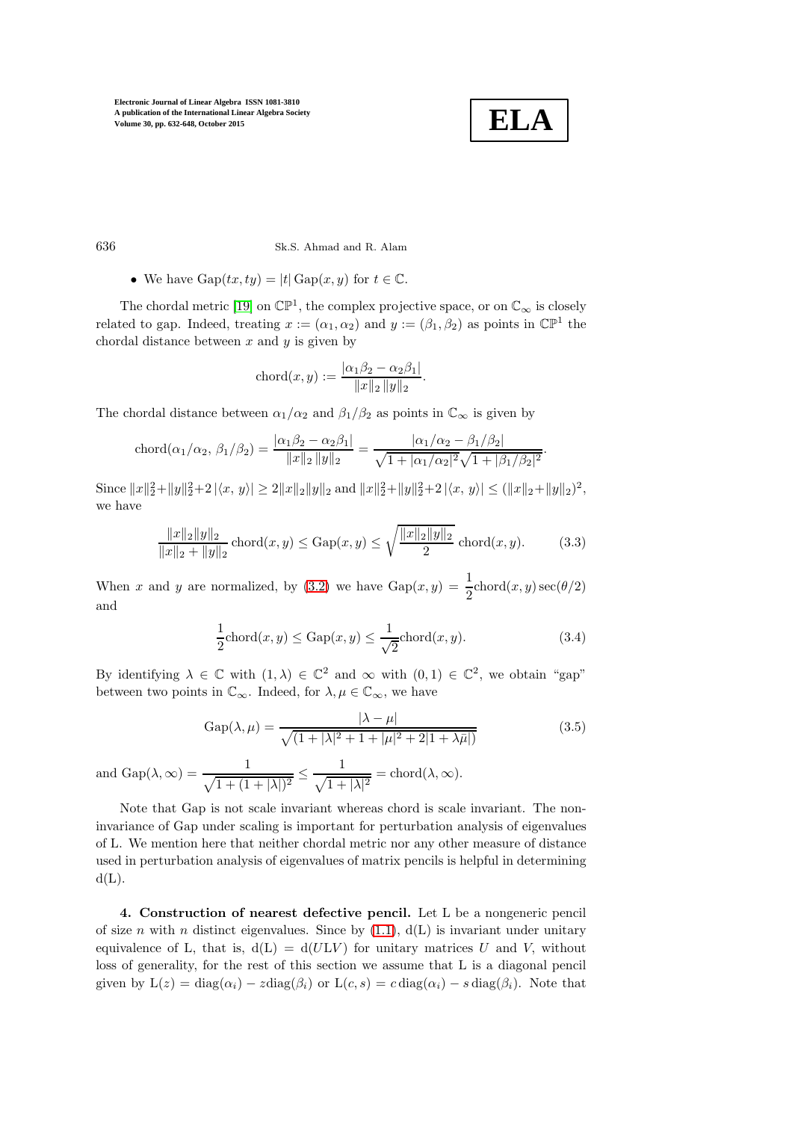

636 Sk.S. Ahmad and R. Alam

• We have  $\text{Gap}(tx, ty) = |t| \text{Gap}(x, y)$  for  $t \in \mathbb{C}$ .

The chordal metric [\[19\]](#page-16-18) on  $\mathbb{CP}^1$ , the complex projective space, or on  $\mathbb{C}_{\infty}$  is closely related to gap. Indeed, treating  $x := (\alpha_1, \alpha_2)$  and  $y := (\beta_1, \beta_2)$  as points in  $\mathbb{CP}^1$  the chordal distance between  $x$  and  $y$  is given by

$$
chord(x, y) := \frac{|\alpha_1 \beta_2 - \alpha_2 \beta_1|}{\|x\|_2 \|y\|_2}.
$$

The chordal distance between  $\alpha_1/\alpha_2$  and  $\beta_1/\beta_2$  as points in  $\mathbb{C}_{\infty}$  is given by

$$
\text{chord}(\alpha_1/\alpha_2, \beta_1/\beta_2) = \frac{|\alpha_1 \beta_2 - \alpha_2 \beta_1|}{\|x\|_2 \|y\|_2} = \frac{|\alpha_1/\alpha_2 - \beta_1/\beta_2|}{\sqrt{1 + |\alpha_1/\alpha_2|^2} \sqrt{1 + |\beta_1/\beta_2|^2}}.
$$

Since  $||x||_2^2 + ||y||_2^2 + 2 |\langle x, y \rangle| \ge 2||x||_2||y||_2$  and  $||x||_2^2 + ||y||_2^2 + 2 |\langle x, y \rangle| \le (||x||_2 + ||y||_2)^2$ , we have

$$
\frac{\|x\|_2\|y\|_2}{\|x\|_2 + \|y\|_2} \operatorname{chord}(x, y) \le \operatorname{Gap}(x, y) \le \sqrt{\frac{\|x\|_2\|y\|_2}{2}} \operatorname{chord}(x, y). \tag{3.3}
$$

When x and y are normalized, by [\(3.2\)](#page-3-3) we have  $\text{Gap}(x, y) = \frac{1}{2} \text{chord}(x, y) \sec(\theta/2)$ and

$$
\frac{1}{2}\text{chord}(x,y) \le \text{Gap}(x,y) \le \frac{1}{\sqrt{2}}\text{chord}(x,y). \tag{3.4}
$$

By identifying  $\lambda \in \mathbb{C}$  with  $(1, \lambda) \in \mathbb{C}^2$  and  $\infty$  with  $(0, 1) \in \mathbb{C}^2$ , we obtain "gap" between two points in  $\mathbb{C}_{\infty}$ . Indeed, for  $\lambda, \mu \in \mathbb{C}_{\infty}$ , we have

$$
Gap(\lambda, \mu) = \frac{|\lambda - \mu|}{\sqrt{(1 + |\lambda|^2 + 1 + |\mu|^2 + 2|1 + \lambda\bar{\mu}|)}}
$$
(3.5)

and  $\text{Gap}(\lambda, \infty) = \frac{1}{\sqrt{1 + (1 + |\lambda|)^2}} \le$ 1  $\frac{1}{\sqrt{1+|\lambda|^2}} = \text{chord}(\lambda, \infty).$ 

Note that Gap is not scale invariant whereas chord is scale invariant. The noninvariance of Gap under scaling is important for perturbation analysis of eigenvalues of L. We mention here that neither chordal metric nor any other measure of distance used in perturbation analysis of eigenvalues of matrix pencils is helpful in determining  $d(L)$ .

4. Construction of nearest defective pencil. Let L be a nongeneric pencil of size n with n distinct eigenvalues. Since by  $(1.1)$ ,  $d(L)$  is invariant under unitary equivalence of L, that is,  $d(L) = d(ULV)$  for unitary matrices U and V, without loss of generality, for the rest of this section we assume that L is a diagonal pencil given by  $L(z) = diag(\alpha_i) - z diag(\beta_i)$  or  $L(c, s) = c diag(\alpha_i) - s diag(\beta_i)$ . Note that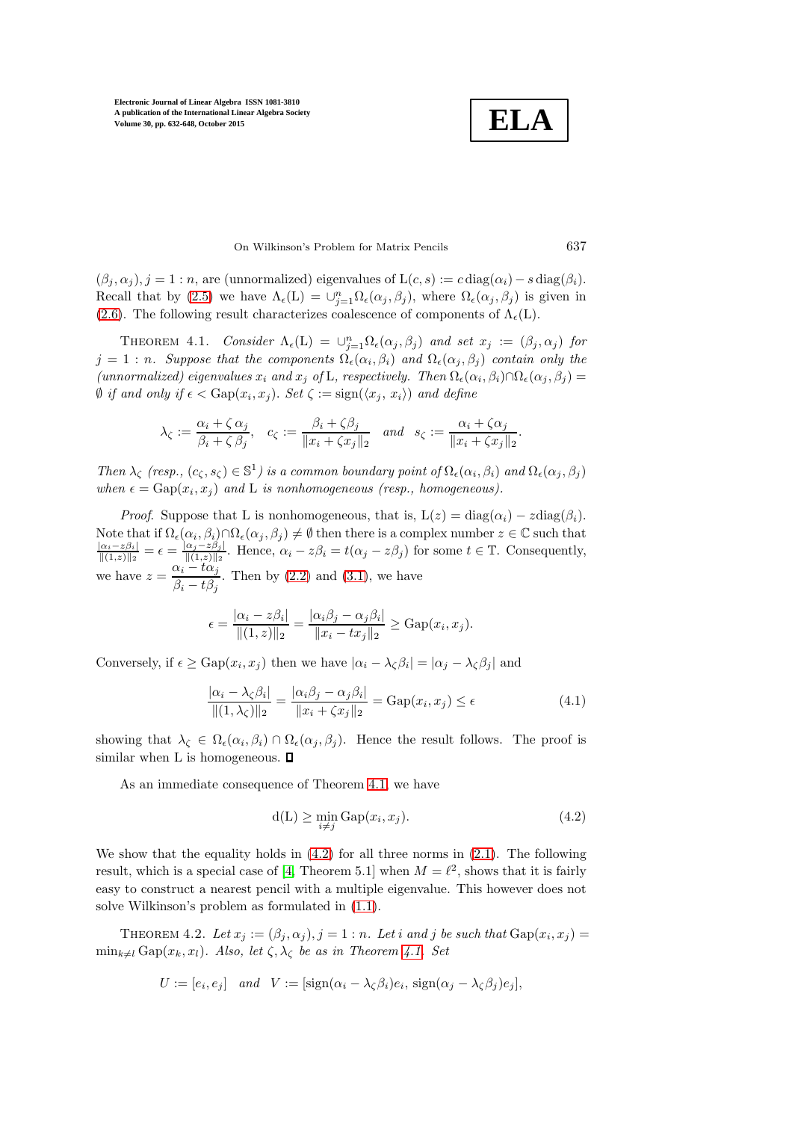**ELA**

## On Wilkinson's Problem for Matrix Pencils 637

 $(\beta_j, \alpha_j), j = 1 : n$ , are (unnormalized) eigenvalues of  $L(c, s) := c \operatorname{diag}(\alpha_i) - s \operatorname{diag}(\beta_i)$ . Recall that by [\(2.5\)](#page-3-4) we have  $\Lambda_{\epsilon}(L) = \bigcup_{j=1}^{n} \Omega_{\epsilon}(\alpha_j, \beta_j)$ , where  $\Omega_{\epsilon}(\alpha_j, \beta_j)$  is given in [\(2.6\)](#page-3-1). The following result characterizes coalescence of components of  $\Lambda_{\epsilon}(L)$ .

<span id="page-5-0"></span>THEOREM 4.1. Consider  $\Lambda_{\epsilon}(L) = \bigcup_{j=1}^{n} \Omega_{\epsilon}(\alpha_j, \beta_j)$  and set  $x_j := (\beta_j, \alpha_j)$  for  $j = 1:n$ . Suppose that the components  $\Omega_{\epsilon}(\alpha_i, \beta_i)$  and  $\Omega_{\epsilon}(\alpha_j, \beta_j)$  contain only the (unnormalized) eigenvalues  $x_i$  and  $x_j$  of L, respectively. Then  $\Omega_{\epsilon}(\alpha_i, \beta_i) \cap \Omega_{\epsilon}(\alpha_j, \beta_j) =$  $\emptyset$  if and only if  $\epsilon < \text{Gap}(x_i, x_j)$ . Set  $\zeta := \text{sign}(\langle x_j, x_i \rangle)$  and define

$$
\lambda_{\zeta} := \frac{\alpha_i + \zeta \, \alpha_j}{\beta_i + \zeta \, \beta_j}, \quad c_{\zeta} := \frac{\beta_i + \zeta \beta_j}{\|x_i + \zeta x_j\|_2} \quad and \quad s_{\zeta} := \frac{\alpha_i + \zeta \alpha_j}{\|x_i + \zeta x_j\|_2}.
$$

Then  $\lambda_{\zeta}$  (resp.,  $(c_{\zeta}, s_{\zeta}) \in \mathbb{S}^1$ ) is a common boundary point of  $\Omega_{\epsilon}(\alpha_i, \beta_i)$  and  $\Omega_{\epsilon}(\alpha_j, \beta_j)$ when  $\epsilon = \text{Gap}(x_i, x_j)$  and L is nonhomogeneous (resp., homogeneous).

*Proof.* Suppose that L is nonhomogeneous, that is,  $L(z) = diag(\alpha_i) - z diag(\beta_i)$ . Note that if  $\Omega_{\epsilon}(\alpha_i, \beta_i) \cap \Omega_{\epsilon}(\alpha_j, \beta_j) \neq \emptyset$  then there is a complex number  $z \in \mathbb{C}$  such that  $\frac{|\alpha_i - z\beta_i|}{\|(1, z)\|_2} = \epsilon = \frac{|\alpha_j - z\beta_j|}{\|(1, z)\|_2}$ . Hence,  $\alpha_i - z\beta_i = t(\alpha_j - z\beta_j)$  for some  $t \in \mathbb{T}$ . Consequently  $\frac{\alpha_j - z\beta_j}{\|(1,z)\|_2}$ . Hence,  $\alpha_i - z\beta_i = t(\alpha_j - z\beta_j)$  for some  $t \in \mathbb{T}$ . Consequently, we have  $z = \frac{\alpha_i - t\alpha_j}{\alpha_i}$  $\frac{\partial u_i}{\partial i - t\beta_j}$ . Then by [\(2.2\)](#page-2-0) and [\(3.1\)](#page-3-2), we have

$$
\epsilon = \frac{|\alpha_i - z\beta_i|}{\|(1, z)\|_2} = \frac{|\alpha_i\beta_j - \alpha_j\beta_i|}{\|x_i - tx_j\|_2} \ge \text{Gap}(x_i, x_j).
$$

Conversely, if  $\epsilon \ge \text{Gap}(x_i, x_j)$  then we have  $|\alpha_i - \lambda_{\zeta} \beta_i| = |\alpha_j - \lambda_{\zeta} \beta_j|$  and

<span id="page-5-2"></span>
$$
\frac{|\alpha_i - \lambda_\zeta \beta_i|}{\|(1, \lambda_\zeta)\|_2} = \frac{|\alpha_i \beta_j - \alpha_j \beta_i|}{\|x_i + \zeta x_j\|_2} = \text{Gap}(x_i, x_j) \le \epsilon
$$
\n(4.1)

showing that  $\lambda_{\zeta} \in \Omega_{\epsilon}(\alpha_i, \beta_i) \cap \Omega_{\epsilon}(\alpha_j, \beta_j)$ . Hence the result follows. The proof is similar when L is homogeneous.  $\square$ 

As an immediate consequence of Theorem [4.1,](#page-5-0) we have

<span id="page-5-1"></span>
$$
d(L) \ge \min_{i \neq j} Gap(x_i, x_j). \tag{4.2}
$$

We show that the equality holds in  $(4.2)$  for all three norms in  $(2.1)$ . The following result, which is a special case of [\[4,](#page-15-2) Theorem 5.1] when  $M = \ell^2$ , shows that it is fairly easy to construct a nearest pencil with a multiple eigenvalue. This however does not solve Wilkinson's problem as formulated in [\(1.1\)](#page-0-0).

<span id="page-5-3"></span>THEOREM 4.2. Let  $x_j := (\beta_j, \alpha_j), j = 1 : n$ . Let i and j be such that  $\text{Gap}(x_i, x_j) =$  $\min_{k\neq l} \text{Gap}(x_k, x_l)$ . Also, let  $\zeta, \lambda_{\zeta}$  be as in Theorem [4.1.](#page-5-0) Set

$$
U := [e_i, e_j] \quad and \quad V := [\text{sign}(\alpha_i - \lambda_{\zeta}\beta_i)e_i, \text{ sign}(\alpha_j - \lambda_{\zeta}\beta_j)e_j],
$$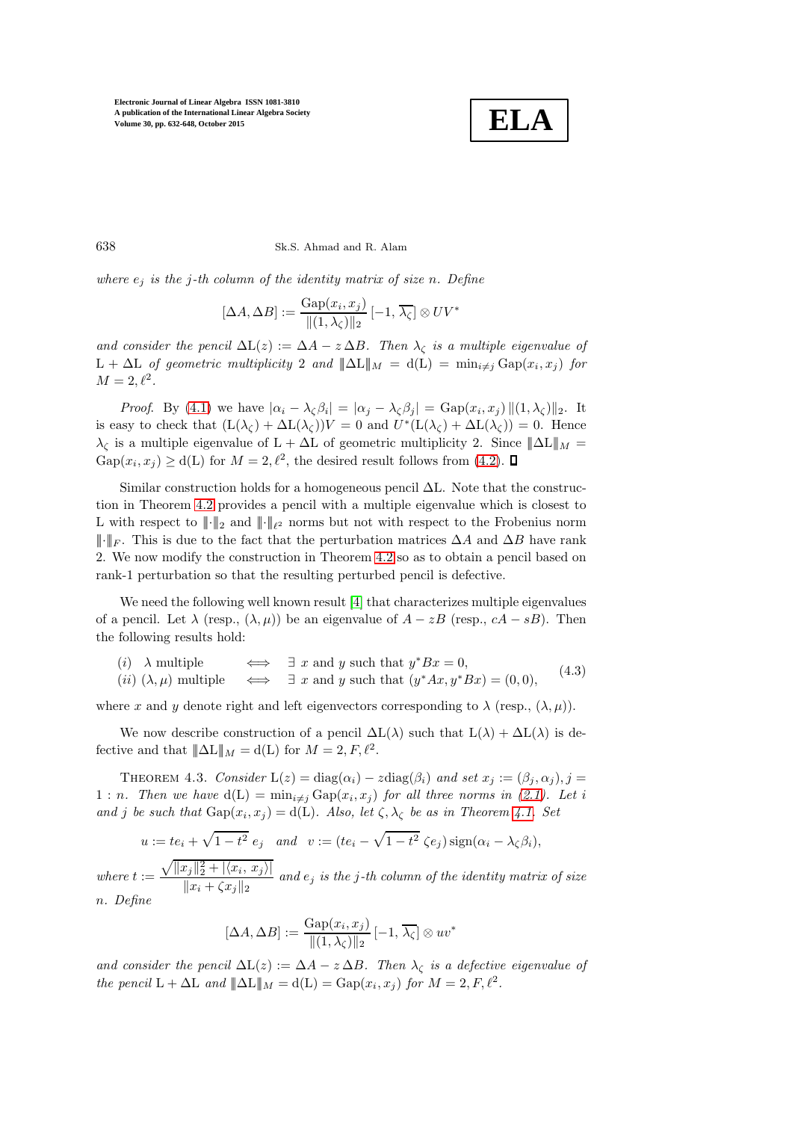

638 Sk.S. Ahmad and R. Alam

where  $e_j$  is the j-th column of the identity matrix of size n. Define

$$
[\Delta A, \Delta B] := \frac{\text{Gap}(x_i, x_j)}{\|(1, \lambda_{\zeta})\|_2} [-1, \overline{\lambda_{\zeta}}] \otimes UV^*
$$

and consider the pencil  $\Delta L(z) := \Delta A - z \Delta B$ . Then  $\lambda_{\zeta}$  is a multiple eigenvalue of  $L + \Delta L$  of geometric multiplicity 2 and  $\|\Delta L\|_{M} = d(L) = \min_{i \neq j} Gap(x_i, x_j)$  for  $M=2,\ell^2$ .

*Proof.* By [\(4.1\)](#page-5-2) we have  $|\alpha_i - \lambda_{\zeta} \beta_i| = |\alpha_j - \lambda_{\zeta} \beta_j| = \text{Gap}(x_i, x_j) ||(1, \lambda_{\zeta})||_2$ . It is easy to check that  $(L(\lambda_{\zeta}) + \Delta L(\lambda_{\zeta}))V = 0$  and  $U^*(L(\lambda_{\zeta}) + \Delta L(\lambda_{\zeta})) = 0$ . Hence  $\lambda_{\zeta}$  is a multiple eigenvalue of L +  $\Delta L$  of geometric multiplicity 2. Since  $\|\Delta L\|_{M}$  =  $\text{Gap}(x_i, x_j) \ge d(L)$  for  $M = 2, \ell^2$ , the desired result follows from [\(4.2\)](#page-5-1).

Similar construction holds for a homogeneous pencil ∆L. Note that the construction in Theorem [4.2](#page-5-3) provides a pencil with a multiple eigenvalue which is closest to L with respect to  $\|\cdot\|_2$  and  $\|\cdot\|_{\ell^2}$  norms but not with respect to the Frobenius norm  $\|\cdot\|_F$ . This is due to the fact that the perturbation matrices  $\Delta A$  and  $\Delta B$  have rank 2. We now modify the construction in Theorem [4.2](#page-5-3) so as to obtain a pencil based on rank-1 perturbation so that the resulting perturbed pencil is defective.

We need the following well known result [\[4\]](#page-15-2) that characterizes multiple eigenvalues of a pencil. Let  $\lambda$  (resp.,  $(\lambda, \mu)$ ) be an eigenvalue of  $A - zB$  (resp.,  $cA - sB$ ). Then the following results hold:

<span id="page-6-0"></span>(*i*)  $\lambda$  multiple  $\iff \exists x$  and y such that  $y^*Bx = 0$ , (*ii*)  $(\lambda, \mu)$  multiple  $\iff \exists x$  and y such that  $(y^*Ax, y^*Bx) = (0, 0),$ (4.3)

where x and y denote right and left eigenvectors corresponding to  $\lambda$  (resp.,  $(\lambda, \mu)$ ).

<span id="page-6-1"></span>We now describe construction of a pencil  $\Delta L(\lambda)$  such that  $L(\lambda) + \Delta L(\lambda)$  is defective and that  $||\Delta L||_M = d(L)$  for  $M = 2, F, \ell^2$ .

THEOREM 4.3. Consider  $L(z) = diag(\alpha_i) - z diag(\beta_i)$  and set  $x_j := (\beta_j, \alpha_j), j =$ 1 : n. Then we have  $d(L) = \min_{i \neq j} Gap(x_i, x_j)$  for all three norms in [\(2.1\)](#page-2-2). Let i and j be such that  $\text{Gap}(x_i, x_j) = d(L)$ . Also, let  $\zeta, \lambda_{\zeta}$  be as in Theorem [4.1.](#page-5-0) Set

$$
u := te_i + \sqrt{1 - t^2} \, e_j \quad \text{and} \quad v := (te_i - \sqrt{1 - t^2} \, \zeta e_j) \operatorname{sign}(\alpha_i - \lambda_{\zeta} \beta_i),
$$

where  $t :=$  $\sqrt{||x_j||_2^2 + |\langle x_i, x_j \rangle|}$  $\frac{f(x,y) - f(x,y) - f(x,y)}{\|x_i + \zeta x_j\|_2}$  and  $e_j$  is the j-th column of the identity matrix of size n. Define

$$
[\Delta A, \Delta B] := \frac{\text{Gap}(x_i, x_j)}{\|(1, \lambda_{\zeta})\|_2} [-1, \overline{\lambda_{\zeta}}] \otimes uv^*
$$

and consider the pencil  $\Delta L(z) := \Delta A - z \Delta B$ . Then  $\lambda_{\zeta}$  is a defective eigenvalue of the pencil  $L + \Delta L$  and  $\|\Delta L\|_M = d(L) = \text{Gap}(x_i, x_j)$  for  $M = 2, F, \ell^2$ .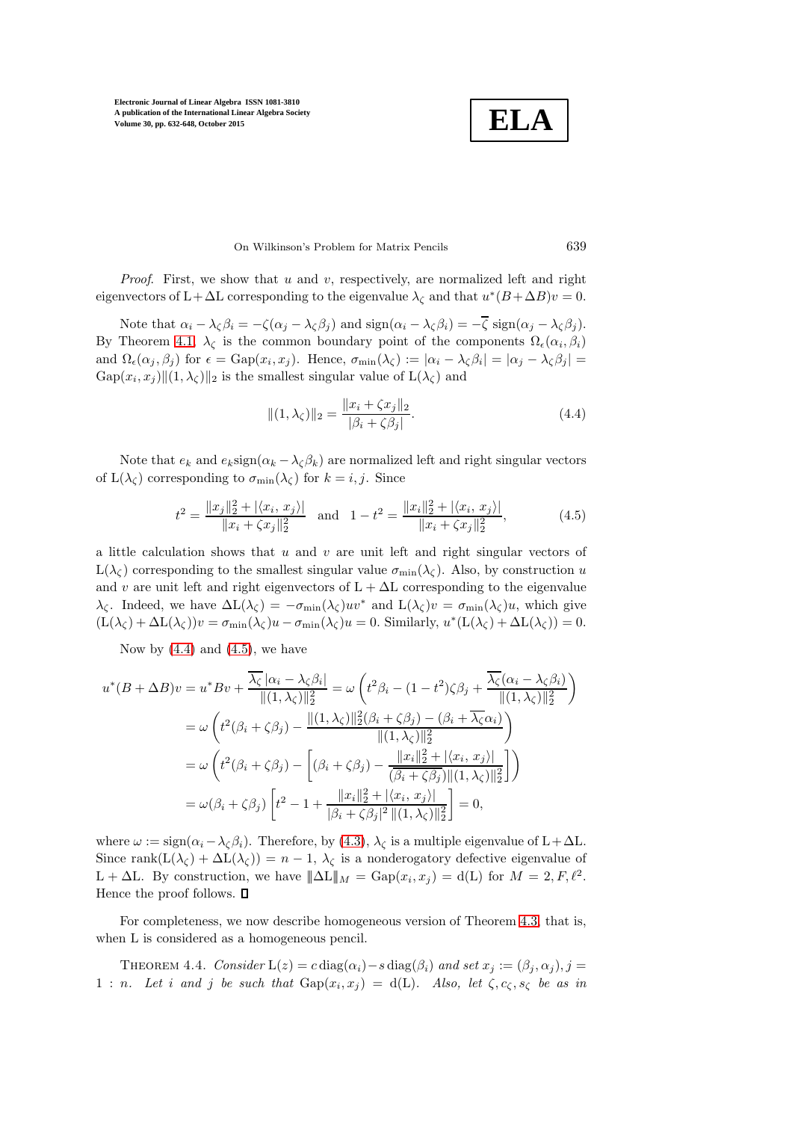**ELA**

#### On Wilkinson's Problem for Matrix Pencils 639

*Proof.* First, we show that u and v, respectively, are normalized left and right eigenvectors of L+ $\Delta$ L corresponding to the eigenvalue  $\lambda_{\zeta}$  and that  $u^*(B + \Delta B)v = 0$ .

Note that  $\alpha_i - \lambda_\zeta \beta_i = -\zeta(\alpha_j - \lambda_\zeta \beta_j)$  and  $\text{sign}(\alpha_i - \lambda_\zeta \beta_i) = -\overline{\zeta} \text{ sign}(\alpha_j - \lambda_\zeta \beta_j)$ . By Theorem [4.1,](#page-5-0)  $\lambda_{\zeta}$  is the common boundary point of the components  $\Omega_{\epsilon}(\alpha_i,\beta_i)$ and  $\Omega_{\epsilon}(\alpha_j, \beta_j)$  for  $\epsilon = \text{Gap}(x_i, x_j)$ . Hence,  $\sigma_{\min}(\lambda_{\zeta}) := |\alpha_i - \lambda_{\zeta}\beta_i| = |\alpha_j - \lambda_{\zeta}\beta_j|$  $\text{Gap}(x_i, x_j) || (1, \lambda_{\zeta}) ||_2$  is the smallest singular value of  $\text{L}(\lambda_{\zeta})$  and

<span id="page-7-0"></span>
$$
||(1, \lambda_{\zeta})||_2 = \frac{||x_i + \zeta x_j||_2}{|\beta_i + \zeta \beta_j|}.
$$
\n(4.4)

Note that  $e_k$  and  $e_k \text{sign}(\alpha_k - \lambda_k \beta_k)$  are normalized left and right singular vectors of  $L(\lambda_{\zeta})$  corresponding to  $\sigma_{\min}(\lambda_{\zeta})$  for  $k = i, j$ . Since

<span id="page-7-1"></span>
$$
t^{2} = \frac{||x_{j}||_{2}^{2} + |\langle x_{i}, x_{j} \rangle|}{||x_{i} + \langle x_{j}||_{2}^{2}} \quad \text{and} \quad 1 - t^{2} = \frac{||x_{i}||_{2}^{2} + |\langle x_{i}, x_{j} \rangle|}{||x_{i} + \langle x_{j}||_{2}^{2}}, \tag{4.5}
$$

a little calculation shows that  $u$  and  $v$  are unit left and right singular vectors of  $L(\lambda_{\zeta})$  corresponding to the smallest singular value  $\sigma_{\min}(\lambda_{\zeta})$ . Also, by construction u and v are unit left and right eigenvectors of  $L + \Delta L$  corresponding to the eigenvalue  $\lambda_{\zeta}$ . Indeed, we have  $\Delta L(\lambda_{\zeta}) = -\sigma_{\min}(\lambda_{\zeta})uv^*$  and  $L(\lambda_{\zeta})v = \sigma_{\min}(\lambda_{\zeta})u$ , which give  $(L(\lambda_{\zeta}) + \Delta L(\lambda_{\zeta}))v = \sigma_{\min}(\lambda_{\zeta})u - \sigma_{\min}(\lambda_{\zeta})u = 0.$  Similarly,  $u^*(L(\lambda_{\zeta}) + \Delta L(\lambda_{\zeta})) = 0.$ 

Now by  $(4.4)$  and  $(4.5)$ , we have

$$
u^*(B + \Delta B)v = u^*Bv + \frac{\overline{\lambda_{\zeta}}|\alpha_i - \lambda_{\zeta}\beta_i|}{\|(1, \lambda_{\zeta})\|_2^2} = \omega \left(t^2\beta_i - (1 - t^2)\zeta\beta_j + \frac{\overline{\lambda_{\zeta}}(\alpha_i - \lambda_{\zeta}\beta_i)}{\|(1, \lambda_{\zeta})\|_2^2}\right)
$$
  

$$
= \omega \left(t^2(\beta_i + \zeta\beta_j) - \frac{\|(1, \lambda_{\zeta})\|_2^2(\beta_i + \zeta\beta_j) - (\beta_i + \overline{\lambda_{\zeta}}\alpha_i)}{\|(1, \lambda_{\zeta})\|_2^2}\right)
$$
  

$$
= \omega \left(t^2(\beta_i + \zeta\beta_j) - \left[(\beta_i + \zeta\beta_j) - \frac{\|x_i\|_2^2 + |\langle x_i, x_j \rangle|}{(\beta_i + \zeta\beta_j)\|(1, \lambda_{\zeta})\|_2^2}\right]\right)
$$
  

$$
= \omega(\beta_i + \zeta\beta_j) \left[t^2 - 1 + \frac{\|x_i\|_2^2 + |\langle x_i, x_j \rangle|}{|\beta_i + \zeta\beta_j|^2\|(1, \lambda_{\zeta})\|_2^2}\right] = 0,
$$

where  $\omega := \text{sign}(\alpha_i - \lambda_c \beta_i)$ . Therefore, by [\(4.3\)](#page-6-0),  $\lambda_c$  is a multiple eigenvalue of L+ $\Delta L$ . Since rank $(L(\lambda_{\zeta}) + \Delta L(\lambda_{\zeta})) = n - 1$ ,  $\lambda_{\zeta}$  is a nonderogatory defective eigenvalue of L +  $\Delta$ L. By construction, we have  $\|\Delta L\|_M = \text{Gap}(x_i, x_j) = d(L)$  for  $M = 2, F, \ell^2$ . Hence the proof follows.  $\Box$ 

<span id="page-7-2"></span>For completeness, we now describe homogeneous version of Theorem [4.3,](#page-6-1) that is, when L is considered as a homogeneous pencil.

THEOREM 4.4. Consider  $L(z) = c \text{diag}(\alpha_i) - s \text{diag}(\beta_i)$  and set  $x_j := (\beta_j, \alpha_j), j =$ 1 : n. Let i and j be such that  $\text{Gap}(x_i, x_j) = d(L)$ . Also, let  $\zeta, c_{\zeta}, s_{\zeta}$  be as in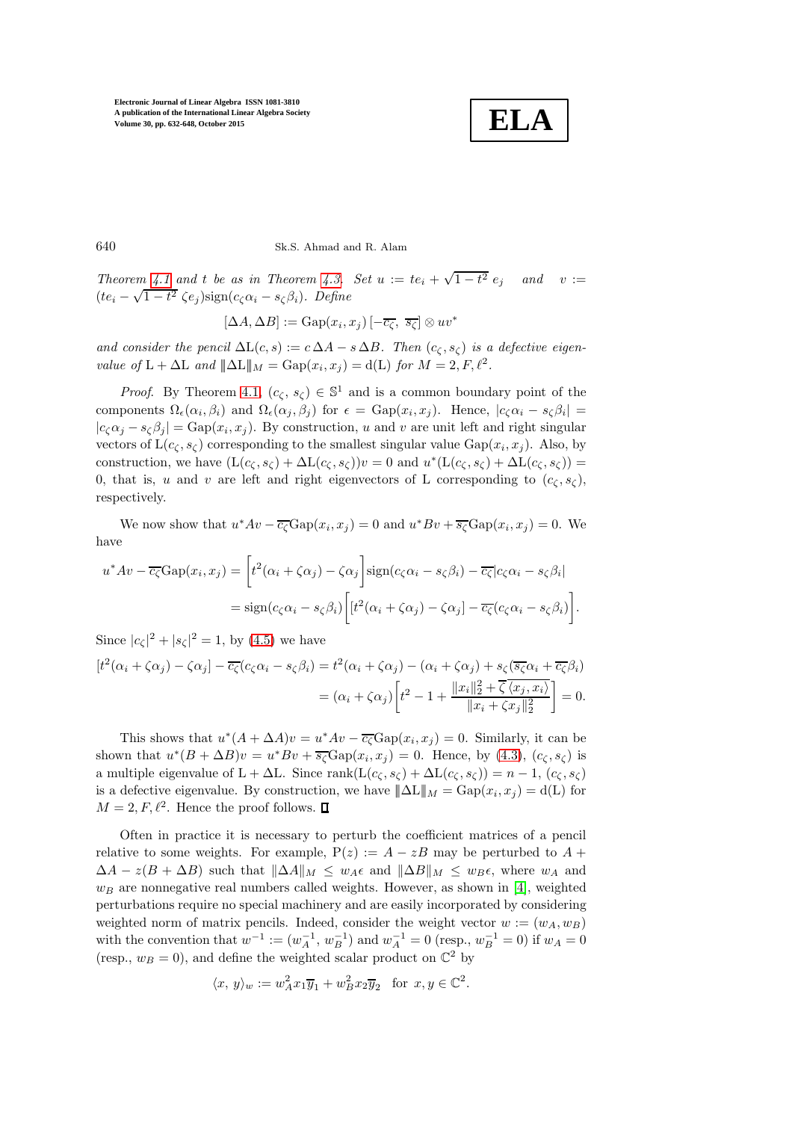

640 Sk.S. Ahmad and R. Alam

Theorem [4.1](#page-5-0) and t be as in Theorem [4.3.](#page-6-1) Set  $u := te_i + \sqrt{1-t}$ and  $v :=$  $(te_i - \sqrt{1-t^2} \zeta e_j)$ sign $(c_\zeta \alpha_i - s_\zeta \beta_i)$ . Define

$$
[\Delta A, \Delta B] := \text{Gap}(x_i, x_j) \left[ -\overline{c_{\zeta}}, \overline{s_{\zeta}} \right] \otimes uv^*
$$

and consider the pencil  $\Delta L(c, s) := c \Delta A - s \Delta B$ . Then  $(c_{\zeta}, s_{\zeta})$  is a defective eigenvalue of  $L + \Delta L$  and  $\|\Delta L\|_M = \text{Gap}(x_i, x_j) = d(L)$  for  $M = 2, F, \ell^2$ .

*Proof.* By Theorem [4.1,](#page-5-0)  $(c_{\zeta}, s_{\zeta}) \in \mathbb{S}^1$  and is a common boundary point of the components  $\Omega_{\epsilon}(\alpha_i,\beta_i)$  and  $\Omega_{\epsilon}(\alpha_j,\beta_j)$  for  $\epsilon = \text{Gap}(x_i,x_j)$ . Hence,  $|c_{\zeta}\alpha_i - s_{\zeta}\beta_i|$  =  $|c_\zeta \alpha_j - s_\zeta \beta_j| = \text{Gap}(x_i, x_j)$ . By construction, u and v are unit left and right singular vectors of  $L(c_{\zeta}, s_{\zeta})$  corresponding to the smallest singular value  $Gap(x_i, x_j)$ . Also, by construction, we have  $(L(c_{\zeta}, s_{\zeta}) + \Delta L(c_{\zeta}, s_{\zeta}))v = 0$  and  $u^*(L(c_{\zeta}, s_{\zeta}) + \Delta L(c_{\zeta}, s_{\zeta})) =$ 0, that is, u and v are left and right eigenvectors of L corresponding to  $(c_{\zeta}, s_{\zeta})$ , respectively.

We now show that  $u^*Av - \overline{c_{\zeta}}\text{Gap}(x_i, x_j) = 0$  and  $u^*Bv + \overline{s_{\zeta}}\text{Gap}(x_i, x_j) = 0$ . We have

$$
u^*Av - \overline{c_{\zeta}}\text{Gap}(x_i, x_j) = \left[t^2(\alpha_i + \zeta\alpha_j) - \zeta\alpha_j\right]\text{sign}(c_{\zeta}\alpha_i - s_{\zeta}\beta_i) - \overline{c_{\zeta}}|c_{\zeta}\alpha_i - s_{\zeta}\beta_i|
$$
  
= 
$$
\text{sign}(c_{\zeta}\alpha_i - s_{\zeta}\beta_i)\left[\left[t^2(\alpha_i + \zeta\alpha_j) - \zeta\alpha_j\right] - \overline{c_{\zeta}}(c_{\zeta}\alpha_i - s_{\zeta}\beta_i)\right].
$$

Since  $|c_{\zeta}|^2 + |s_{\zeta}|^2 = 1$ , by [\(4.5\)](#page-7-1) we have

$$
[t^2(\alpha_i + \zeta \alpha_j) - \zeta \alpha_j] - \overline{c_{\zeta}}(c_{\zeta} \alpha_i - s_{\zeta} \beta_i) = t^2(\alpha_i + \zeta \alpha_j) - (\alpha_i + \zeta \alpha_j) + s_{\zeta}(\overline{s_{\zeta}} \alpha_i + \overline{c_{\zeta}} \beta_i)
$$
  
= 
$$
(\alpha_i + \zeta \alpha_j) \left[ t^2 - 1 + \frac{\|x_i\|_2^2 + \overline{\zeta}(\overline{x_j}, x_i)}{\|x_i + \zeta x_j\|_2^2} \right] = 0.
$$

This shows that  $u^*(A + \Delta A)v = u^*Av - \overline{c_{\zeta}}Gap(x_i, x_j) = 0$ . Similarly, it can be shown that  $u^*(B + \Delta B)v = u^*Bv + \overline{s_{\zeta}}\text{Gap}(x_i, x_j) = 0$ . Hence, by [\(4.3\)](#page-6-0),  $(c_{\zeta}, s_{\zeta})$  is a multiple eigenvalue of L +  $\Delta L$ . Since rank( $L(c_{\zeta}, s_{\zeta}) + \Delta L(c_{\zeta}, s_{\zeta})) = n - 1$ ,  $(c_{\zeta}, s_{\zeta})$ ) is a defective eigenvalue. By construction, we have  $\|\Delta L\|_M = \text{Gap}(x_i, x_j) = d(L)$  for  $M = 2, F, \ell^2$ . Hence the proof follows.

Often in practice it is necessary to perturb the coefficient matrices of a pencil relative to some weights. For example,  $P(z) := A - zB$  may be perturbed to  $A +$  $\Delta A - z(B + \Delta B)$  such that  $\|\Delta A\|_M \leq w_A \epsilon$  and  $\|\Delta B\|_M \leq w_B \epsilon$ , where  $w_A$  and  $w_B$  are nonnegative real numbers called weights. However, as shown in [\[4\]](#page-15-2), weighted perturbations require no special machinery and are easily incorporated by considering weighted norm of matrix pencils. Indeed, consider the weight vector  $w := (w_A, w_B)$ with the convention that  $w^{-1} := (w_A^{-1}, w_B^{-1})$  and  $w_A^{-1} = 0$  (resp.,  $w_B^{-1} = 0$ ) if  $w_A = 0$ (resp.,  $w_B = 0$ ), and define the weighted scalar product on  $\mathbb{C}^2$  by

$$
\langle x, y \rangle_w := w_A^2 x_1 \overline{y}_1 + w_B^2 x_2 \overline{y}_2 \quad \text{for } x, y \in \mathbb{C}^2.
$$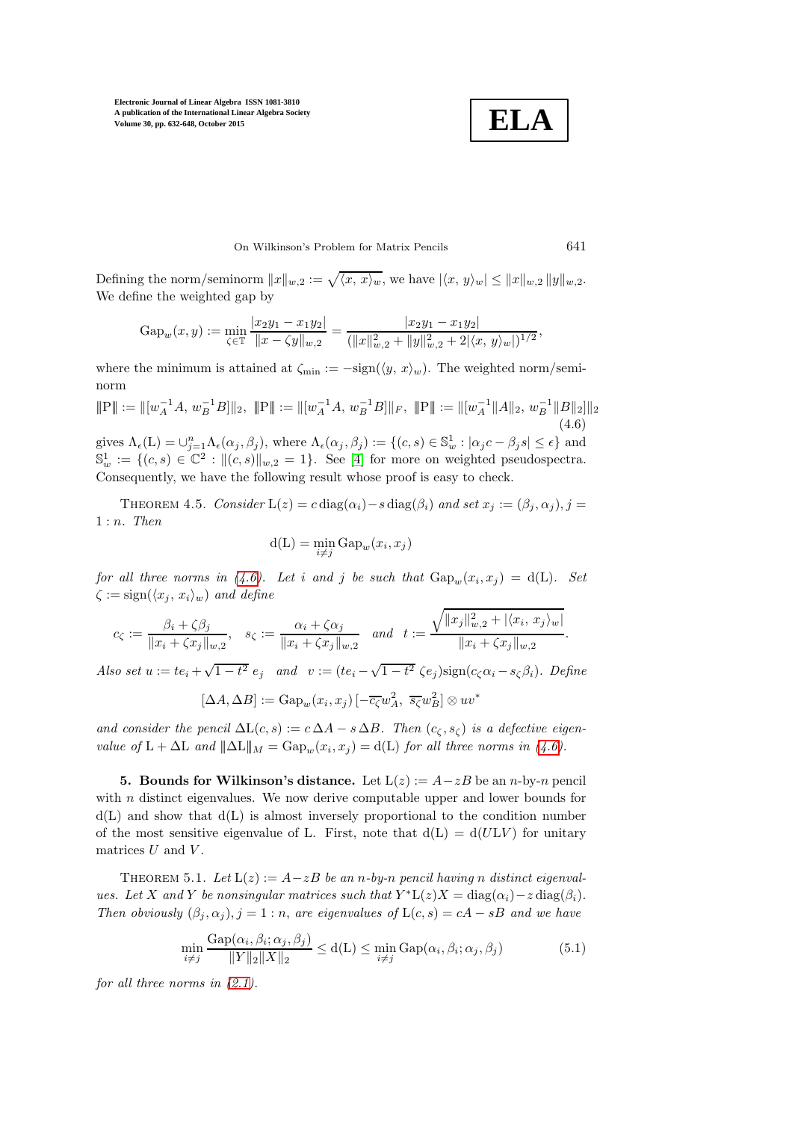**ELA**

On Wilkinson's Problem for Matrix Pencils 641

Defining the norm/seminorm  $||x||_{w,2} := \sqrt{\langle x, x \rangle_w}$ , we have  $|\langle x, y \rangle_w| \le ||x||_{w,2} ||y||_{w,2}$ . We define the weighted gap by

$$
\mathrm{Gap}_w(x,y) := \min_{\zeta \in \mathbb{T}} \frac{|x_2 y_1 - x_1 y_2|}{\|x - \zeta y\|_{w,2}} = \frac{|x_2 y_1 - x_1 y_2|}{(\|x\|_{w,2}^2 + \|y\|_{w,2}^2 + 2|\langle x, y \rangle_w|)^{1/2}},
$$

where the minimum is attained at  $\zeta_{\min} := -\text{sign}(\langle y, x \rangle_w)$ . The weighted norm/seminorm

<span id="page-9-0"></span>
$$
\mathbb{P}\| := \|[w_A^{-1}A, w_B^{-1}B]\|_2, \ \mathbb{P}\| := \|[w_A^{-1}A, w_B^{-1}B]\|_F, \ \mathbb{P}\| := \|[w_A^{-1}\|A\|_2, w_B^{-1}\|B\|_2]\|_2
$$
\n(4.6)

gives  $\Lambda_{\epsilon}(L) = \bigcup_{j=1}^{n} \Lambda_{\epsilon}(\alpha_j, \beta_j)$ , where  $\Lambda_{\epsilon}(\alpha_j, \beta_j) := \{(c, s) \in \mathbb{S}_w^1 : |\alpha_j c - \beta_j s| \leq \epsilon\}$  and  $\mathbb{S}_w^1 := \{(c, s) \in \mathbb{C}^2 : ||(c, s)||_{w,2} = 1\}.$  See [\[4\]](#page-15-2) for more on weighted pseudospectra. Consequently, we have the following result whose proof is easy to check.

THEOREM 4.5. Consider  $L(z) = c \operatorname{diag}(\alpha_i) - s \operatorname{diag}(\beta_i)$  and set  $x_j := (\beta_j, \alpha_j), j =$ 1 : n. Then

$$
d(L) = \min_{i \neq j} Gap_w(x_i, x_j)
$$

for all three norms in [\(4.6\)](#page-9-0). Let i and j be such that  $\text{Gap}_w(x_i, x_j) = d(L)$ . Set  $\zeta := \text{sign}(\langle x_j , x_i \rangle_w)$  and define

$$
c_{\zeta} := \frac{\beta_i + \zeta \beta_j}{\|x_i + \zeta x_j\|_{w,2}}, \quad s_{\zeta} := \frac{\alpha_i + \zeta \alpha_j}{\|x_i + \zeta x_j\|_{w,2}} \quad \text{and} \quad t := \frac{\sqrt{\|x_j\|_{w,2}^2 + |\langle x_i, x_j \rangle_w\|}}{\|x_i + \zeta x_j\|_{w,2}}.
$$

Also set  $u := te_i + \sqrt{1 - t^2} e_j$  and  $v := (te_i - \sqrt{1 - t^2} \zeta e_j) sign(c_\zeta \alpha_i - s_\zeta \beta_i)$ . Define

$$
[\Delta A, \Delta B] := \text{Gap}_w(x_i, x_j) \left[ -\overline{c_{\zeta}} w_A^2, \overline{s_{\zeta}} w_B^2 \right] \otimes uv^*
$$

and consider the pencil  $\Delta L(c, s) := c \Delta A - s \Delta B$ . Then  $(c_{\zeta}, s_{\zeta})$  is a defective eigenvalue of  $L + \Delta L$  and  $\|\Delta L\|_M = \text{Gap}_w(x_i, x_j) = d(L)$  for all three norms in [\(4.6\)](#page-9-0).

**5. Bounds for Wilkinson's distance.** Let  $L(z) := A - zB$  be an n-by-n pencil with  $n$  distinct eigenvalues. We now derive computable upper and lower bounds for  $d(L)$  and show that  $d(L)$  is almost inversely proportional to the condition number of the most sensitive eigenvalue of L. First, note that  $d(L) = d(ULV)$  for unitary matrices  $U$  and  $V$ .

<span id="page-9-1"></span>THEOREM 5.1. Let  $L(z) := A - zB$  be an n-by-n pencil having n distinct eigenvalues. Let X and Y be nonsingular matrices such that  $Y^*L(z)X = diag(\alpha_i) - z diag(\beta_i)$ . Then obviously  $(\beta_j, \alpha_j), j = 1 : n$ , are eigenvalues of  $L(c, s) = cA - sB$  and we have

$$
\min_{i \neq j} \frac{\text{Gap}(\alpha_i, \beta_i; \alpha_j, \beta_j)}{\|Y\|_2 \|X\|_2} \leq d(L) \leq \min_{i \neq j} \text{Gap}(\alpha_i, \beta_i; \alpha_j, \beta_j)
$$
(5.1)

for all three norms in  $(2.1)$ .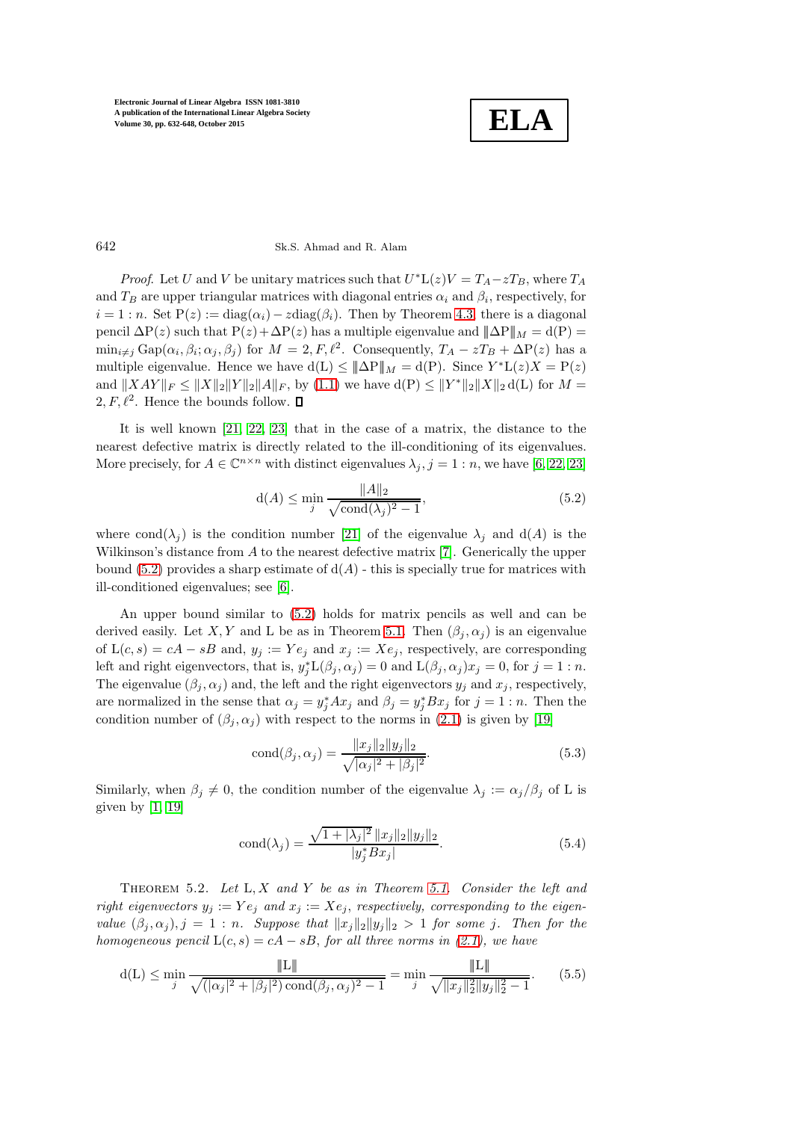

### 642 Sk.S. Ahmad and R. Alam

*Proof.* Let U and V be unitary matrices such that  $U^*L(z)V = T_A - zT_B$ , where  $T_A$ and  $T_B$  are upper triangular matrices with diagonal entries  $\alpha_i$  and  $\beta_i$ , respectively, for  $i = 1 : n$ . Set  $P(z) := diag(\alpha_i) - z diag(\beta_i)$ . Then by Theorem [4.3,](#page-6-1) there is a diagonal pencil  $\Delta P(z)$  such that  $P(z)+\Delta P(z)$  has a multiple eigenvalue and  $||\Delta P||_M = d(P)$  =  $\min_{i \neq j} \text{Gap}(\alpha_i, \beta_i; \alpha_j, \beta_j)$  for  $M = 2, F, \ell^2$ . Consequently,  $T_A - zT_B + \Delta P(z)$  has a multiple eigenvalue. Hence we have  $d(L) \leq \|\Delta P\|_M = d(P)$ . Since  $Y^*L(z)X = P(z)$ and  $||XAY||_F \le ||X||_2||Y||_2||A||_F$ , by [\(1.1\)](#page-0-0) we have  $d(P) \le ||Y^*||_2||X||_2 d(L)$  for  $M =$  $2, F, \ell^2$ . Hence the bounds follow.

It is well known [\[21,](#page-16-10) [22,](#page-16-11) [23\]](#page-16-12) that in the case of a matrix, the distance to the nearest defective matrix is directly related to the ill-conditioning of its eigenvalues. More precisely, for  $A \in \mathbb{C}^{n \times n}$  with distinct eigenvalues  $\lambda_j, j = 1:n$ , we have [\[6,](#page-15-4) [22,](#page-16-11) [23\]](#page-16-12)

<span id="page-10-0"></span>
$$
d(A) \le \min_{j} \frac{\|A\|_2}{\sqrt{\text{cond}(\lambda_j)^2 - 1}},\tag{5.2}
$$

where cond $(\lambda_j)$  is the condition number [\[21\]](#page-16-10) of the eigenvalue  $\lambda_j$  and d(A) is the Wilkinson's distance from A to the nearest defective matrix [\[7\]](#page-16-2). Generically the upper bound [\(5.2\)](#page-10-0) provides a sharp estimate of  $d(A)$  - this is specially true for matrices with ill-conditioned eigenvalues; see [\[6\]](#page-15-4).

An upper bound similar to [\(5.2\)](#page-10-0) holds for matrix pencils as well and can be derived easily. Let X, Y and L be as in Theorem [5.1.](#page-9-1) Then  $(\beta_i, \alpha_j)$  is an eigenvalue of  $L(c, s) = cA - sB$  and,  $y_j := Ye_j$  and  $x_j := Xe_j$ , respectively, are corresponding left and right eigenvectors, that is,  $y_j^* L(\beta_j, \alpha_j) = 0$  and  $L(\beta_j, \alpha_j)x_j = 0$ , for  $j = 1:n$ . The eigenvalue  $(\beta_j, \alpha_j)$  and, the left and the right eigenvectors  $y_j$  and  $x_j$ , respectively, are normalized in the sense that  $\alpha_j = y_j^* A x_j$  and  $\beta_j = y_j^* B x_j$  for  $j = 1 : n$ . Then the condition number of  $(\beta_j, \alpha_j)$  with respect to the norms in [\(2.1\)](#page-2-2) is given by [\[19\]](#page-16-18)

<span id="page-10-2"></span>
$$
cond(\beta_j, \alpha_j) = \frac{\|x_j\|_2 \|y_j\|_2}{\sqrt{|\alpha_j|^2 + |\beta_j|^2}}.
$$
\n(5.3)

Similarly, when  $\beta_j \neq 0$ , the condition number of the eigenvalue  $\lambda_j := \alpha_j/\beta_j$  of L is given by  $[1, 19]$  $[1, 19]$ 

<span id="page-10-3"></span>
$$
cond(\lambda_j) = \frac{\sqrt{1 + |\lambda_j|^2} \|x_j\|_2 \|y_j\|_2}{|y_j^* B x_j|}.
$$
\n(5.4)

<span id="page-10-4"></span>THEOREM 5.2. Let  $L, X$  and Y be as in Theorem [5.1.](#page-9-1) Consider the left and right eigenvectors  $y_j := Ye_j$  and  $x_j := Xe_j$ , respectively, corresponding to the eigenvalue  $(\beta_j, \alpha_j), j = 1 : n$ . Suppose that  $||x_j||_2 ||y_j||_2 > 1$  for some j. Then for the homogeneous pencil  $L(c, s) = cA - sB$ , for all three norms in [\(2.1\)](#page-2-2), we have

<span id="page-10-1"></span>
$$
d(L) \le \min_{j} \frac{\|L\|}{\sqrt{(|\alpha_j|^2 + |\beta_j|^2) \operatorname{cond}(\beta_j, \alpha_j)^2 - 1}} = \min_{j} \frac{\|L\|}{\sqrt{\|x_j\|_2^2 \|y_j\|_2^2 - 1}}. \tag{5.5}
$$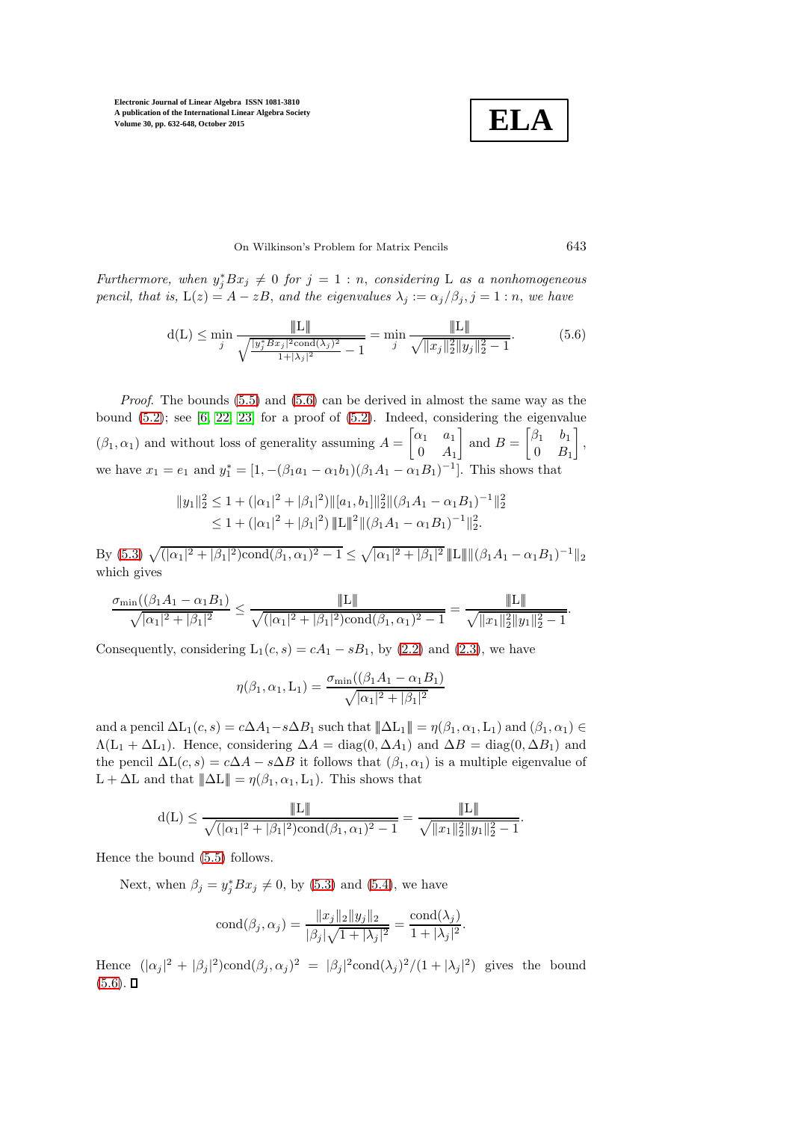

.

# On Wilkinson's Problem for Matrix Pencils 643

Furthermore, when  $y_j^* B x_j \neq 0$  for  $j = 1 : n$ , considering L as a nonhomogeneous pencil, that is,  $L(z) = A - zB$ , and the eigenvalues  $\lambda_j := \alpha_j/\beta_j$ ,  $j = 1:n$ , we have

<span id="page-11-0"></span>
$$
d(L) \le \min_{j} \frac{\|L\|}{\sqrt{\frac{|y_j^* B x_j|^2 \text{cond}(\lambda_j)^2}{1+|\lambda_j|^2} - 1}} = \min_{j} \frac{\|L\|}{\sqrt{\|x_j\|_2^2 \|y_j\|_2^2 - 1}}. \tag{5.6}
$$

Proof. The bounds [\(5.5\)](#page-10-1) and [\(5.6\)](#page-11-0) can be derived in almost the same way as the bound  $(5.2)$ ; see  $[6, 22, 23]$  $[6, 22, 23]$  $[6, 22, 23]$  for a proof of  $(5.2)$ . Indeed, considering the eigenvalue  $(\beta_1, \alpha_1)$  and without loss of generality assuming  $A = \begin{bmatrix} \alpha_1 & a_1 \\ 0 & A \end{bmatrix}$  $0 \quad A_1$ and  $B = \begin{bmatrix} \beta_1 & b_1 \\ 0 & B \end{bmatrix}$  $0 \quad B_1$  , we have  $x_1 = e_1$  and  $y_1^* = [1, -(\beta_1 a_1 - \alpha_1 b_1)(\beta_1 A_1 - \alpha_1 B_1)^{-1}]$ . This shows that

$$
||y_1||_2^2 \le 1 + (|\alpha_1|^2 + |\beta_1|^2) ||[a_1, b_1]||_2^2 ||(\beta_1 A_1 - \alpha_1 B_1)^{-1}||_2^2
$$
  
 
$$
\le 1 + (|\alpha_1|^2 + |\beta_1|^2) ||\mathbf{L}||_2^2 ||(\beta_1 A_1 - \alpha_1 B_1)^{-1}||_2^2.
$$

By [\(5.3\)](#page-10-2)  $\sqrt{(|\alpha_1|^2 + |\beta_1|^2)\text{cond}(\beta_1, \alpha_1)^2 - 1} \leq \sqrt{|\alpha_1|^2 + |\beta_1|^2} ||\mathbb{L}|| ||(\beta_1 A_1 - \alpha_1 B_1)^{-1}||_2$ which gives

$$
\frac{\sigma_{\min}((\beta_1 A_1 - \alpha_1 B_1)}{\sqrt{|\alpha_1|^2 + |\beta_1|^2}} \le \frac{\|L\|}{\sqrt{(|\alpha_1|^2 + |\beta_1|^2)\mathrm{cond}(\beta_1, \alpha_1)^2 - 1}} = \frac{\|L\|}{\sqrt{\|x_1\|_2^2 \|y_1\|_2^2 - 1}}.
$$

Consequently, considering  $L_1(c, s) = cA_1 - sB_1$ , by [\(2.2\)](#page-2-0) and [\(2.3\)](#page-2-3), we have

$$
\eta(\beta_1, \alpha_1, L_1) = \frac{\sigma_{\min}((\beta_1 A_1 - \alpha_1 B_1)}{\sqrt{|\alpha_1|^2 + |\beta_1|^2}}
$$

and a pencil  $\Delta L_1(c, s) = c\Delta A_1 - s\Delta B_1$  such that  $||\Delta L_1|| = \eta(\beta_1, \alpha_1, L_1)$  and  $(\beta_1, \alpha_1) \in$  $\Lambda(L_1 + \Delta L_1)$ . Hence, considering  $\Delta A = \text{diag}(0, \Delta A_1)$  and  $\Delta B = \text{diag}(0, \Delta B_1)$  and the pencil  $\Delta L(c, s) = c\Delta A - s\Delta B$  it follows that  $(\beta_1, \alpha_1)$  is a multiple eigenvalue of L +  $\Delta$ L and that  $\|\Delta L\| = \eta(\beta_1, \alpha_1, L_1)$ . This shows that

$$
d(L) \le \frac{\|L\|}{\sqrt{(|\alpha_1|^2 + |\beta_1|^2)\text{cond}(\beta_1, \alpha_1)^2 - 1}} = \frac{\|L\|}{\sqrt{\|x_1\|_2^2 \|y_1\|_2^2 - 1}}
$$

Hence the bound [\(5.5\)](#page-10-1) follows.

Next, when  $\beta_j = y_j^* B x_j \neq 0$ , by [\(5.3\)](#page-10-2) and [\(5.4\)](#page-10-3), we have

$$
cond(\beta_j, \alpha_j) = \frac{\|x_j\|_2 \|y_j\|_2}{|\beta_j| \sqrt{1 + |\lambda_j|^2}} = \frac{cond(\lambda_j)}{1 + |\lambda_j|^2}.
$$

Hence  $(|\alpha_j|^2 + |\beta_j|^2)\text{cond}(\beta_j, \alpha_j)^2 = |\beta_j|^2 \text{cond}(\lambda_j)^2/(1+|\lambda_j|^2)$  gives the bound  $(5.6)$ .  $\Box$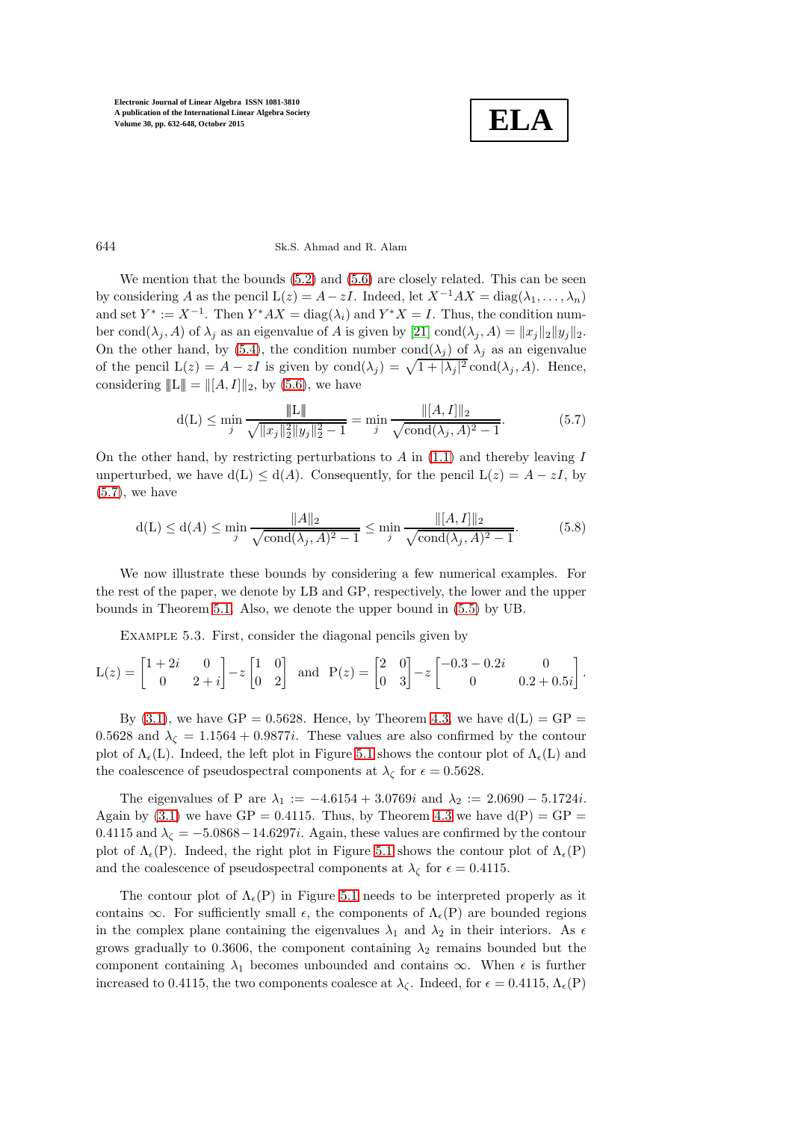

.

## 644 Sk.S. Ahmad and R. Alam

We mention that the bounds  $(5.2)$  and  $(5.6)$  are closely related. This can be seen by considering A as the pencil  $L(z) = A - zI$ . Indeed, let  $X^{-1}AX = \text{diag}(\lambda_1, \ldots, \lambda_n)$ and set  $Y^* := X^{-1}$ . Then  $Y^*AX = \text{diag}(\lambda_i)$  and  $Y^*X = I$ . Thus, the condition number cond $(\lambda_j, A)$  of  $\lambda_j$  as an eigenvalue of A is given by [\[21\]](#page-16-10) cond $(\lambda_j, A) = ||x_j||_2 ||y_j||_2$ . On the other hand, by [\(5.4\)](#page-10-3), the condition number cond( $\lambda_i$ ) of  $\lambda_i$  as an eigenvalue of the pencil  $L(z) = A - zI$  is given by  $\text{cond}(\lambda_j) = \sqrt{1 + |\lambda_j|^2} \text{cond}(\lambda_j, A)$ . Hence, considering  $||L|| = ||[A, I]||_2$ , by [\(5.6\)](#page-11-0), we have

<span id="page-12-0"></span>
$$
d(L) \le \min_{j} \frac{\|L\|}{\sqrt{\|x_j\|_2^2 \|y_j\|_2^2 - 1}} = \min_{j} \frac{\| [A, I] \|_2}{\sqrt{\text{cond}(\lambda_j, A)^2 - 1}}.
$$
(5.7)

On the other hand, by restricting perturbations to  $A$  in  $(1.1)$  and thereby leaving  $I$ unperturbed, we have  $d(L) \leq d(A)$ . Consequently, for the pencil  $L(z) = A - zI$ , by [\(5.7\)](#page-12-0), we have

<span id="page-12-1"></span>
$$
d(L) \le d(A) \le \min_{j} \frac{\|A\|_2}{\sqrt{\text{cond}(\lambda_j, A)^2 - 1}} \le \min_{j} \frac{\|[A, I]\|_2}{\sqrt{\text{cond}(\lambda_j, A)^2 - 1}}.
$$
(5.8)

We now illustrate these bounds by considering a few numerical examples. For the rest of the paper, we denote by LB and GP, respectively, the lower and the upper bounds in Theorem [5.1.](#page-9-1) Also, we denote the upper bound in [\(5.5\)](#page-10-1) by UB.

Example 5.3. First, consider the diagonal pencils given by

$$
L(z) = \begin{bmatrix} 1+2i & 0 \\ 0 & 2+i \end{bmatrix} - z \begin{bmatrix} 1 & 0 \\ 0 & 2 \end{bmatrix} \text{ and } P(z) = \begin{bmatrix} 2 & 0 \\ 0 & 3 \end{bmatrix} - z \begin{bmatrix} -0.3 - 0.2i & 0 \\ 0 & 0.2 + 0.5i \end{bmatrix}
$$

By  $(3.1)$ , we have GP = 0.5628. Hence, by Theorem [4.3,](#page-6-1) we have  $d(L) = GP =$ 0.5628 and  $\lambda_c = 1.1564 + 0.9877i$ . These values are also confirmed by the contour plot of  $\Lambda_{\epsilon}(L)$ . Indeed, the left plot in Figure [5.1](#page-13-0) shows the contour plot of  $\Lambda_{\epsilon}(L)$  and the coalescence of pseudospectral components at  $\lambda_{\zeta}$  for  $\epsilon = 0.5628$ .

The eigenvalues of P are  $\lambda_1 := -4.6154 + 3.0769i$  and  $\lambda_2 := 2.0690 - 5.1724i$ . Again by  $(3.1)$  we have GP = 0.4115. Thus, by Theorem [4.3](#page-6-1) we have  $d(P) = GP =$ 0.4115 and  $\lambda_{\zeta} = -5.0868 - 14.6297i$ . Again, these values are confirmed by the contour plot of  $\Lambda_{\epsilon}(P)$ . Indeed, the right plot in Figure [5.1](#page-13-0) shows the contour plot of  $\Lambda_{\epsilon}(P)$ and the coalescence of pseudospectral components at  $\lambda_{\zeta}$  for  $\epsilon = 0.4115$ .

The contour plot of  $\Lambda_{\epsilon}(P)$  in Figure [5.1](#page-13-0) needs to be interpreted properly as it contains  $\infty$ . For sufficiently small  $\epsilon$ , the components of  $\Lambda_{\epsilon}(P)$  are bounded regions in the complex plane containing the eigenvalues  $\lambda_1$  and  $\lambda_2$  in their interiors. As  $\epsilon$ grows gradually to 0.3606, the component containing  $\lambda_2$  remains bounded but the component containing  $\lambda_1$  becomes unbounded and contains  $\infty$ . When  $\epsilon$  is further increased to 0.4115, the two components coalesce at  $\lambda_{\zeta}$ . Indeed, for  $\epsilon = 0.4115$ ,  $\Lambda_{\epsilon}(P)$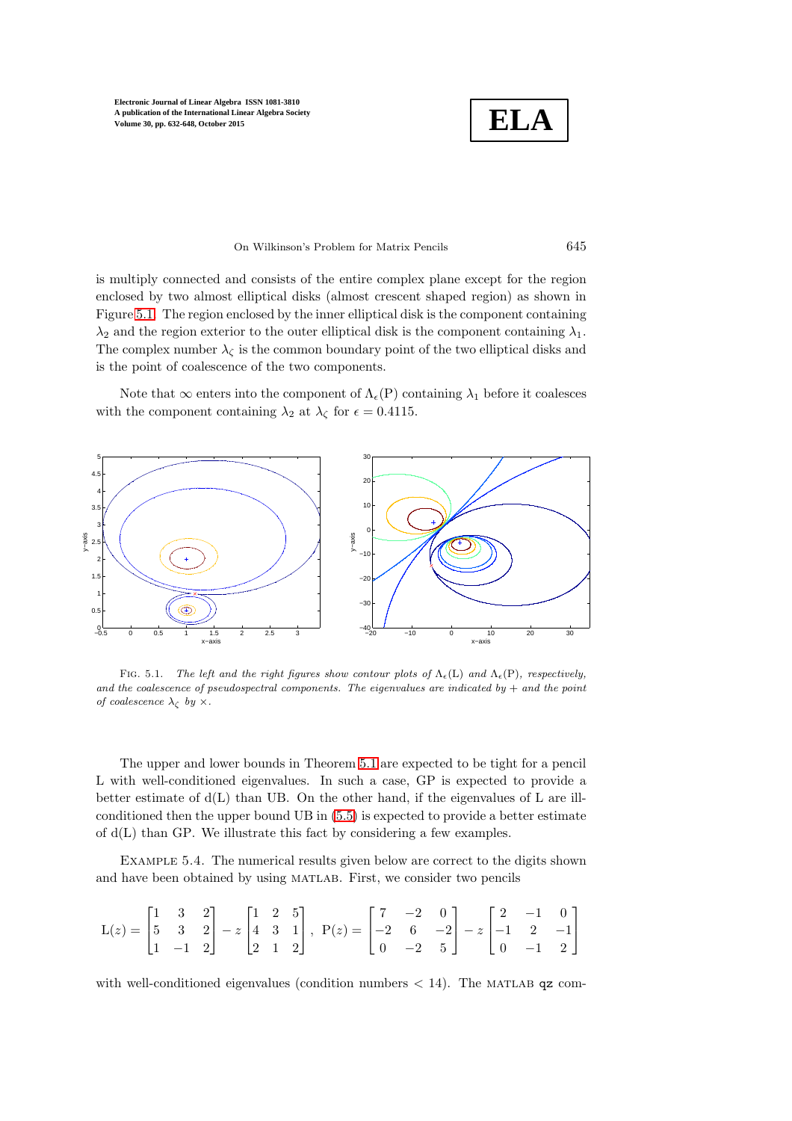**ELA**

#### On Wilkinson's Problem for Matrix Pencils 645

is multiply connected and consists of the entire complex plane except for the region enclosed by two almost elliptical disks (almost crescent shaped region) as shown in Figure [5.1.](#page-13-0) The region enclosed by the inner elliptical disk is the component containing  $\lambda_2$  and the region exterior to the outer elliptical disk is the component containing  $\lambda_1$ . The complex number  $\lambda_{\zeta}$  is the common boundary point of the two elliptical disks and is the point of coalescence of the two components.

Note that  $\infty$  enters into the component of  $\Lambda_{\epsilon}(P)$  containing  $\lambda_1$  before it coalesces with the component containing  $\lambda_2$  at  $\lambda_\zeta$  for  $\epsilon = 0.4115$ .



<span id="page-13-0"></span>FIG. 5.1. *The left and the right figures show contour plots of*  $\Lambda_{\epsilon}(L)$  *and*  $\Lambda_{\epsilon}(P)$ *, respectively, and the coalescence of pseudospectral components. The eigenvalues are indicated by* + *and the point of coalescence*  $\lambda_{\zeta}$  *by*  $\times$ *.* 

The upper and lower bounds in Theorem [5.1](#page-9-1) are expected to be tight for a pencil L with well-conditioned eigenvalues. In such a case, GP is expected to provide a better estimate of  $d(L)$  than UB. On the other hand, if the eigenvalues of L are illconditioned then the upper bound UB in [\(5.5\)](#page-10-1) is expected to provide a better estimate of d(L) than GP. We illustrate this fact by considering a few examples.

Example 5.4. The numerical results given below are correct to the digits shown and have been obtained by using matlab. First, we consider two pencils

$$
L(z) = \begin{bmatrix} 1 & 3 & 2 \\ 5 & 3 & 2 \\ 1 & -1 & 2 \end{bmatrix} - z \begin{bmatrix} 1 & 2 & 5 \\ 4 & 3 & 1 \\ 2 & 1 & 2 \end{bmatrix}, \ P(z) = \begin{bmatrix} 7 & -2 & 0 \\ -2 & 6 & -2 \\ 0 & -2 & 5 \end{bmatrix} - z \begin{bmatrix} 2 & -1 & 0 \\ -1 & 2 & -1 \\ 0 & -1 & 2 \end{bmatrix}
$$

with well-conditioned eigenvalues (condition numbers  $< 14$ ). The MATLAB qz com-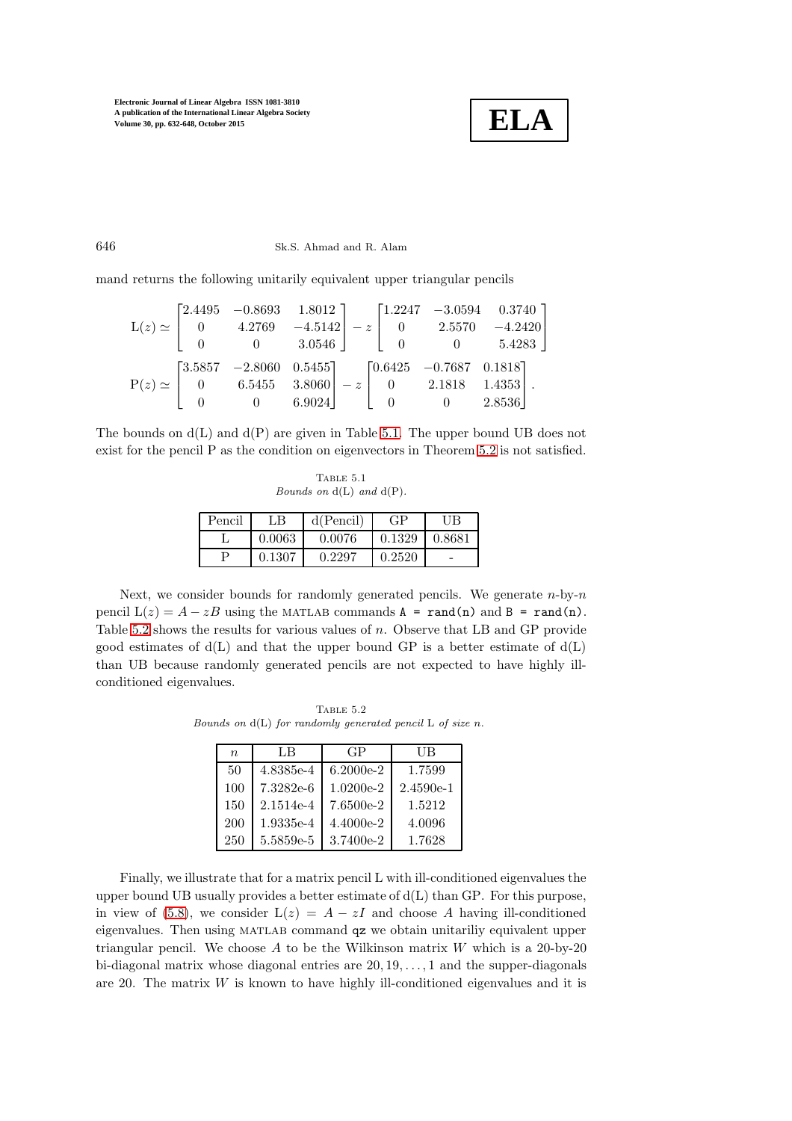

# 646 Sk.S. Ahmad and R. Alam

mand returns the following unitarily equivalent upper triangular pencils

|  |                                                                                                                                                                                                                 |  |                                                | $\label{eq:21} \mbox{L}(z) \simeq \begin{bmatrix} 2.4495 & -0.8693 & 1.8012 \\ 0 & 4.2769 & -4.5142 \\ 0 & 0 & 3.0546 \end{bmatrix} - z \begin{bmatrix} 1.2247 & -3.0594 & 0.3740 \\ 0 & 2.5570 & -4.2420 \\ 0 & 0 & 5.4283 \end{bmatrix}$ |
|--|-----------------------------------------------------------------------------------------------------------------------------------------------------------------------------------------------------------------|--|------------------------------------------------|--------------------------------------------------------------------------------------------------------------------------------------------------------------------------------------------------------------------------------------------|
|  | $\mathbf{P}(z) \simeq \begin{bmatrix} 3.5857 & -2.8060 & 0.5455 \\ 0 & 6.5455 & 3.8060 \end{bmatrix} - z \begin{bmatrix} 0.6425 & -0.7687 & 0.1818 \\ 0 & 2.1818 & 1.4353 \end{bmatrix}.$<br>$0 \t 0 \t 6.9024$ |  | $\begin{bmatrix} 0 & 0 & 2.8536 \end{bmatrix}$ |                                                                                                                                                                                                                                            |

The bounds on  $d(L)$  and  $d(P)$  are given in Table [5.1.](#page-14-0) The upper bound UB does not exist for the pencil P as the condition on eigenvectors in Theorem [5.2](#page-10-4) is not satisfied.

<span id="page-14-0"></span>Table 5.1 *Bounds on* d(L) *and* d(P)*.*

| Pencil | LB     | d(Pencil) |        | UB         |
|--------|--------|-----------|--------|------------|
|        | 0.0063 | 0.0076    | 0.1329 | ${0.8681}$ |
|        | 0.1307 | 0.2297    | 0.2520 |            |

Next, we consider bounds for randomly generated pencils. We generate  $n$ -by- $n$ pencil  $L(z) = A - zB$  using the MATLAB commands  $A = \text{rand}(n)$  and  $B = \text{rand}(n)$ . Table [5.2](#page-14-1) shows the results for various values of n. Observe that LB and GP provide good estimates of  $d(L)$  and that the upper bound GP is a better estimate of  $d(L)$ than UB because randomly generated pencils are not expected to have highly illconditioned eigenvalues.

Table 5.2 *Bounds on* d(L) *for randomly generated pencil* L *of size* n*.*

<span id="page-14-1"></span>

| $\eta$ | LB        | GP          | UВ          |
|--------|-----------|-------------|-------------|
| 50     | 4.8385e-4 | $6.2000e-2$ | 1.7599      |
| 100    | 7.3282e-6 | $1.0200e-2$ | $2.4590e-1$ |
| 150    | 2.1514e-4 | 7.6500e-2   | 1.5212      |
| 200    | 1.9335e-4 | 4.4000e-2   | 4.0096      |
| 250    | 5.5859e-5 | 3.7400e-2   | 1.7628      |

Finally, we illustrate that for a matrix pencil L with ill-conditioned eigenvalues the upper bound UB usually provides a better estimate of d(L) than GP. For this purpose, in view of [\(5.8\)](#page-12-1), we consider  $L(z) = A - zI$  and choose A having ill-conditioned eigenvalues. Then using MATLAB command qz we obtain unitariliy equivalent upper triangular pencil. We choose A to be the Wilkinson matrix  $W$  which is a 20-by-20 bi-diagonal matrix whose diagonal entries are  $20, 19, \ldots, 1$  and the supper-diagonals are 20. The matrix  $W$  is known to have highly ill-conditioned eigenvalues and it is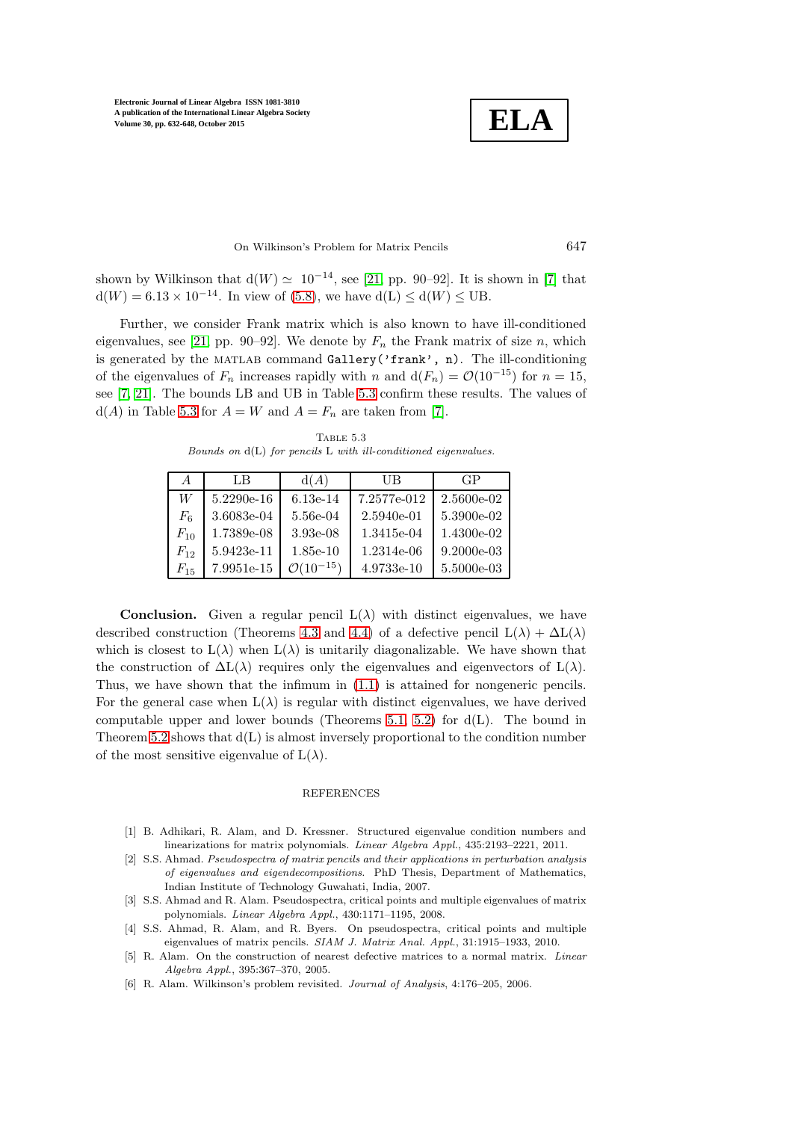**ELA**

### On Wilkinson's Problem for Matrix Pencils 647

shown by Wilkinson that  $d(W) \simeq 10^{-14}$ , see [\[21,](#page-16-10) pp. 90–92]. It is shown in [\[7\]](#page-16-2) that  $d(W) = 6.13 \times 10^{-14}$ . In view of [\(5.8\)](#page-12-1), we have  $d(L) \le d(W) \le UB$ .

Further, we consider Frank matrix which is also known to have ill-conditioned eigenvalues, see [\[21,](#page-16-10) pp. 90–92]. We denote by  $F_n$  the Frank matrix of size n, which is generated by the MATLAB command Gallery('frank', n). The ill-conditioning of the eigenvalues of  $F_n$  increases rapidly with n and  $d(F_n) = \mathcal{O}(10^{-15})$  for  $n = 15$ , see [\[7,](#page-16-2) [21\]](#page-16-10). The bounds LB and UB in Table [5.3](#page-15-6) confirm these results. The values of  $d(A)$  in Table [5.3](#page-15-6) for  $A = W$  and  $A = F_n$  are taken from [\[7\]](#page-16-2).

<span id="page-15-6"></span>Table 5.3 *Bounds on* d(L) *for pencils* L *with ill-conditioned eigenvalues.*

| $\overline{A}$ | LB           | d(A)                    | UВ           | GP           |
|----------------|--------------|-------------------------|--------------|--------------|
| W              | $5.2290e-16$ | $6.13e-14$              | 7.2577e-012  | 2.5600e-02   |
| $F_6$          | 3.6083e-04   | 5.56e-04                | $2.5940e-01$ | 5.3900e-02   |
| $F_{10}$       | 1.7389e-08   | $3.93e-08$              | 1.3415e-04   | $1.4300e-02$ |
| $F_{12}$       | 5.9423e-11   | $1.85e-10$              | 1.2314e-06   | $9.2000e-03$ |
| $F_{15}$       | 7.9951e-15   | $\mathcal{O}(10^{-15})$ | 4.9733e-10   | 5.5000e-03   |

**Conclusion.** Given a regular pencil  $L(\lambda)$  with distinct eigenvalues, we have described construction (Theorems [4.3](#page-6-1) and [4.4\)](#page-7-2) of a defective pencil  $L(\lambda) + \Delta L(\lambda)$ which is closest to  $L(\lambda)$  when  $L(\lambda)$  is unitarily diagonalizable. We have shown that the construction of  $\Delta L(\lambda)$  requires only the eigenvalues and eigenvectors of  $L(\lambda)$ . Thus, we have shown that the infimum in [\(1.1\)](#page-0-0) is attained for nongeneric pencils. For the general case when  $L(\lambda)$  is regular with distinct eigenvalues, we have derived computable upper and lower bounds (Theorems [5.1,](#page-9-1) [5.2\)](#page-10-4) for  $d(L)$ . The bound in Theorem [5.2](#page-10-4) shows that  $d(L)$  is almost inversely proportional to the condition number of the most sensitive eigenvalue of  $L(\lambda)$ .

#### REFERENCES

- <span id="page-15-5"></span>[1] B. Adhikari, R. Alam, and D. Kressner. Structured eigenvalue condition numbers and linearizations for matrix polynomials. *Linear Algebra Appl.*, 435:2193–2221, 2011.
- <span id="page-15-0"></span>[2] S.S. Ahmad. *Pseudospectra of matrix pencils and their applications in perturbation analysis of eigenvalues and eigendecompositions*. PhD Thesis, Department of Mathematics, Indian Institute of Technology Guwahati, India, 2007.
- <span id="page-15-1"></span>[3] S.S. Ahmad and R. Alam. Pseudospectra, critical points and multiple eigenvalues of matrix polynomials. *Linear Algebra Appl.*, 430:1171–1195, 2008.
- <span id="page-15-2"></span>[4] S.S. Ahmad, R. Alam, and R. Byers. On pseudospectra, critical points and multiple eigenvalues of matrix pencils. *SIAM J. Matrix Anal. Appl.*, 31:1915–1933, 2010.
- <span id="page-15-3"></span>[5] R. Alam. On the construction of nearest defective matrices to a normal matrix. *Linear Algebra Appl.*, 395:367–370, 2005.
- <span id="page-15-4"></span>[6] R. Alam. Wilkinson's problem revisited. *Journal of Analysis*, 4:176–205, 2006.